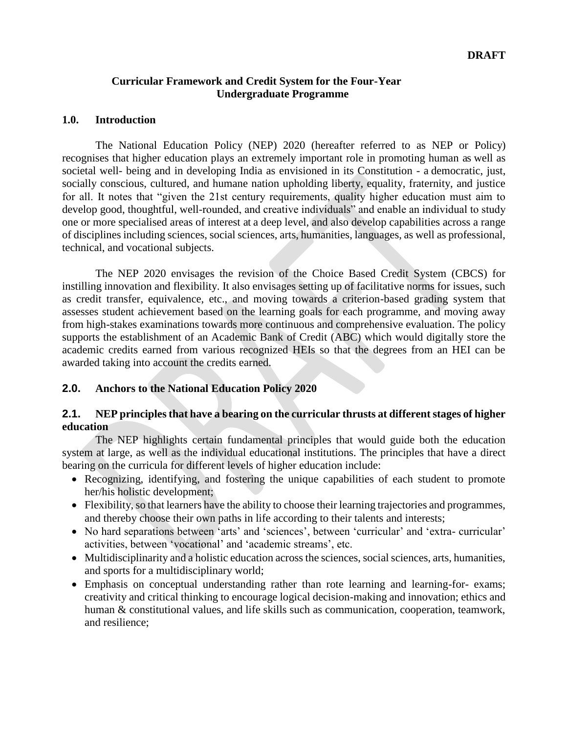#### **Curricular Framework and Credit System for the Four-Year Undergraduate Programme**

#### **1.0. Introduction**

The National Education Policy (NEP) 2020 (hereafter referred to as NEP or Policy) recognises that higher education plays an extremely important role in promoting human as well as societal well- being and in developing India as envisioned in its Constitution - a democratic, just, socially conscious, cultured, and humane nation upholding liberty, equality, fraternity, and justice for all. It notes that "given the 21st century requirements, quality higher education must aim to develop good, thoughtful, well-rounded, and creative individuals" and enable an individual to study one or more specialised areas of interest at a deep level, and also develop capabilities across a range of disciplines including sciences, social sciences, arts, humanities, languages, as well as professional, technical, and vocational subjects.

The NEP 2020 envisages the revision of the Choice Based Credit System (CBCS) for instilling innovation and flexibility. It also envisages setting up of facilitative norms for issues, such as credit transfer, equivalence, etc., and moving towards a criterion-based grading system that assesses student achievement based on the learning goals for each programme, and moving away from high-stakes examinations towards more continuous and comprehensive evaluation. The policy supports the establishment of an Academic Bank of Credit (ABC) which would digitally store the academic credits earned from various recognized HEIs so that the degrees from an HEI can be awarded taking into account the credits earned.

#### **2.0. Anchors to the National Education Policy 2020**

#### **2.1. NEP principles that have a bearing on the curricular thrusts at different stages of higher education**

The NEP highlights certain fundamental principles that would guide both the education system at large, as well as the individual educational institutions. The principles that have a direct bearing on the curricula for different levels of higher education include:

- Recognizing, identifying, and fostering the unique capabilities of each student to promote her/his holistic development;
- Flexibility, so that learners have the ability to choose their learning trajectories and programmes, and thereby choose their own paths in life according to their talents and interests;
- No hard separations between 'arts' and 'sciences', between 'curricular' and 'extra- curricular' activities, between 'vocational' and 'academic streams', etc.
- Multidisciplinarity and a holistic education across the sciences, social sciences, arts, humanities, and sports for a multidisciplinary world;
- Emphasis on conceptual understanding rather than rote learning and learning-for- exams; creativity and critical thinking to encourage logical decision-making and innovation; ethics and human & constitutional values, and life skills such as communication, cooperation, teamwork, and resilience;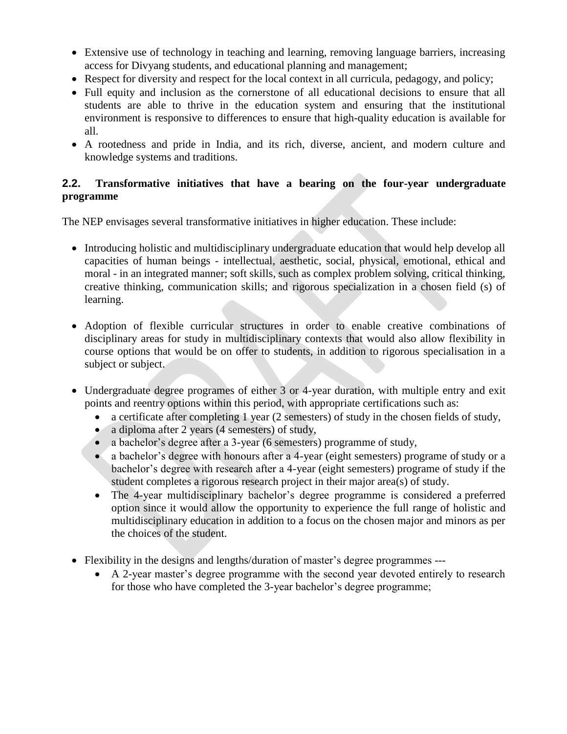- Extensive use of technology in teaching and learning, removing language barriers, increasing access for Divyang students, and educational planning and management;
- Respect for diversity and respect for the local context in all curricula, pedagogy, and policy;
- Full equity and inclusion as the cornerstone of all educational decisions to ensure that all students are able to thrive in the education system and ensuring that the institutional environment is responsive to differences to ensure that high-quality education is available for all.
- A rootedness and pride in India, and its rich, diverse, ancient, and modern culture and knowledge systems and traditions.

#### **2.2. Transformative initiatives that have a bearing on the four-year undergraduate programme**

The NEP envisages several transformative initiatives in higher education. These include:

- Introducing holistic and multidisciplinary undergraduate education that would help develop all capacities of human beings - intellectual, aesthetic, social, physical, emotional, ethical and moral - in an integrated manner; soft skills, such as complex problem solving, critical thinking, creative thinking, communication skills; and rigorous specialization in a chosen field (s) of learning.
- Adoption of flexible curricular structures in order to enable creative combinations of disciplinary areas for study in multidisciplinary contexts that would also allow flexibility in course options that would be on offer to students, in addition to rigorous specialisation in a subject or subject.
- Undergraduate degree programes of either 3 or 4-year duration, with multiple entry and exit points and reentry options within this period, with appropriate certifications such as:
	- a certificate after completing 1 year (2 semesters) of study in the chosen fields of study,
	- a diploma after 2 years (4 semesters) of study,
	- a bachelor's degree after a 3-year (6 semesters) programme of study,
	- a bachelor's degree with honours after a 4-year (eight semesters) programe of study or a bachelor's degree with research after a 4-year (eight semesters) programe of study if the student completes a rigorous research project in their major area(s) of study.
	- The 4-year multidisciplinary bachelor's degree programme is considered a preferred option since it would allow the opportunity to experience the full range of holistic and multidisciplinary education in addition to a focus on the chosen major and minors as per the choices of the student.
- Flexibility in the designs and lengths/duration of master's degree programmes ---
	- A 2-year master's degree programme with the second year devoted entirely to research for those who have completed the 3-year bachelor's degree programme;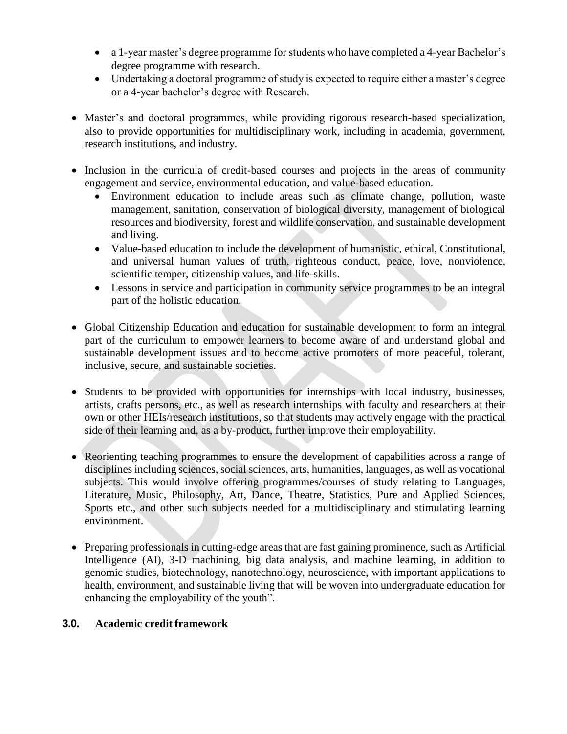- a 1-year master's degree programme for students who have completed a 4-year Bachelor's degree programme with research.
- Undertaking a doctoral programme of study is expected to require either a master's degree or a 4-year bachelor's degree with Research.
- Master's and doctoral programmes, while providing rigorous research-based specialization, also to provide opportunities for multidisciplinary work, including in academia, government, research institutions, and industry.
- Inclusion in the curricula of credit-based courses and projects in the areas of community engagement and service, environmental education, and value-based education.
	- Environment education to include areas such as climate change, pollution, waste management, sanitation, conservation of biological diversity, management of biological resources and biodiversity, forest and wildlife conservation, and sustainable development and living.
	- Value-based education to include the development of humanistic, ethical, Constitutional, and universal human values of truth, righteous conduct, peace, love, nonviolence, scientific temper, citizenship values, and life-skills.
	- Lessons in service and participation in community service programmes to be an integral part of the holistic education.
- Global Citizenship Education and education for sustainable development to form an integral part of the curriculum to empower learners to become aware of and understand global and sustainable development issues and to become active promoters of more peaceful, tolerant, inclusive, secure, and sustainable societies.
- Students to be provided with opportunities for internships with local industry, businesses, artists, crafts persons, etc., as well as research internships with faculty and researchers at their own or other HEIs/research institutions, so that students may actively engage with the practical side of their learning and, as a by-product, further improve their employability.
- Reorienting teaching programmes to ensure the development of capabilities across a range of disciplines including sciences, social sciences, arts, humanities, languages, as well as vocational subjects. This would involve offering programmes/courses of study relating to Languages, Literature, Music, Philosophy, Art, Dance, Theatre, Statistics, Pure and Applied Sciences, Sports etc., and other such subjects needed for a multidisciplinary and stimulating learning environment.
- Preparing professionals in cutting-edge areas that are fast gaining prominence, such as Artificial Intelligence (AI), 3-D machining, big data analysis, and machine learning, in addition to genomic studies, biotechnology, nanotechnology, neuroscience, with important applications to health, environment, and sustainable living that will be woven into undergraduate education for enhancing the employability of the youth".

#### **3.0. Academic credit framework**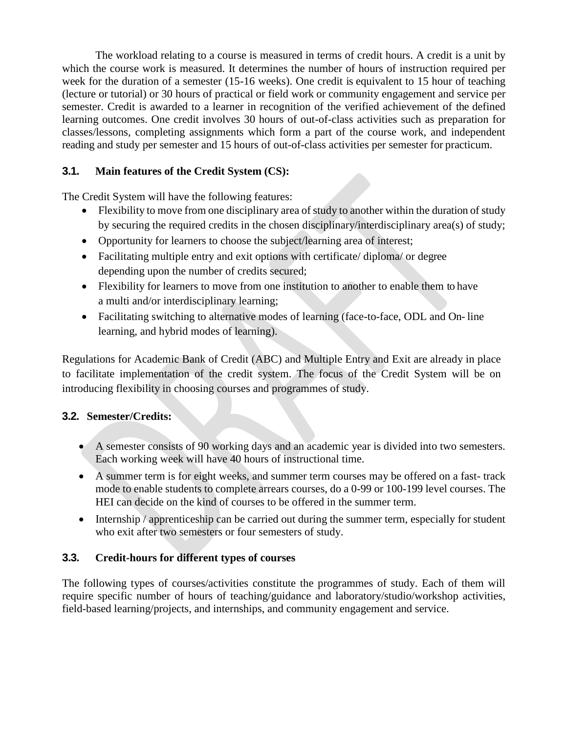The workload relating to a course is measured in terms of credit hours. A credit is a unit by which the course work is measured. It determines the number of hours of instruction required per week for the duration of a semester (15-16 weeks). One credit is equivalent to 15 hour of teaching (lecture or tutorial) or 30 hours of practical or field work or community engagement and service per semester. Credit is awarded to a learner in recognition of the verified achievement of the defined learning outcomes. One credit involves 30 hours of out-of-class activities such as preparation for classes/lessons, completing assignments which form a part of the course work, and independent reading and study per semester and 15 hours of out-of-class activities per semester for practicum.

# **3.1. Main features of the Credit System (CS):**

The Credit System will have the following features:

- Flexibility to move from one disciplinary area of study to another within the duration of study by securing the required credits in the chosen disciplinary/interdisciplinary area(s) of study;
- Opportunity for learners to choose the subject/learning area of interest;
- Facilitating multiple entry and exit options with certificate/ diploma/ or degree depending upon the number of credits secured;
- Flexibility for learners to move from one institution to another to enable them to have a multi and/or interdisciplinary learning;
- Facilitating switching to alternative modes of learning (face-to-face, ODL and On- line learning, and hybrid modes of learning).

Regulations for Academic Bank of Credit (ABC) and Multiple Entry and Exit are already in place to facilitate implementation of the credit system. The focus of the Credit System will be on introducing flexibility in choosing courses and programmes of study.

# **3.2. Semester/Credits:**

- A semester consists of 90 working days and an academic year is divided into two semesters. Each working week will have 40 hours of instructional time.
- A summer term is for eight weeks, and summer term courses may be offered on a fast- track mode to enable students to complete arrears courses, do a 0-99 or 100-199 level courses. The HEI can decide on the kind of courses to be offered in the summer term.
- Internship / apprenticeship can be carried out during the summer term, especially for student who exit after two semesters or four semesters of study.

# **3.3. Credit-hours for different types of courses**

The following types of courses/activities constitute the programmes of study. Each of them will require specific number of hours of teaching/guidance and laboratory/studio/workshop activities, field-based learning/projects, and internships, and community engagement and service.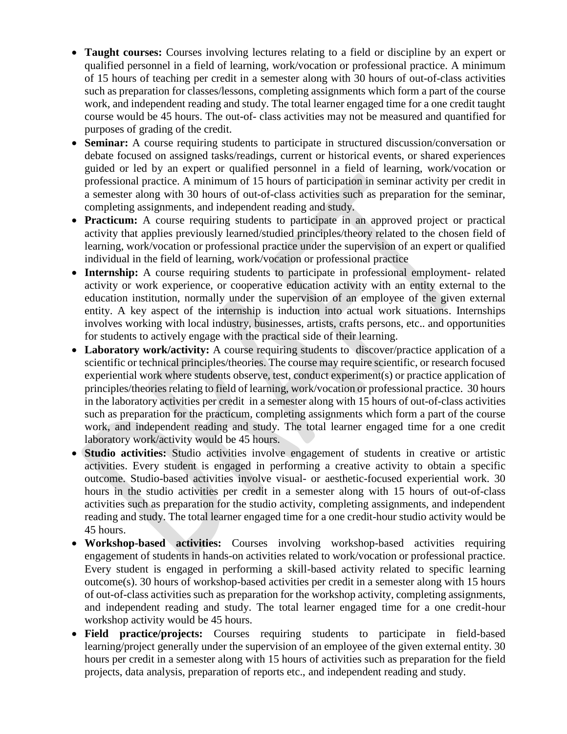- **Taught courses:** Courses involving lectures relating to a field or discipline by an expert or qualified personnel in a field of learning, work/vocation or professional practice. A minimum of 15 hours of teaching per credit in a semester along with 30 hours of out-of-class activities such as preparation for classes/lessons, completing assignments which form a part of the course work, and independent reading and study. The total learner engaged time for a one credit taught course would be 45 hours. The out-of- class activities may not be measured and quantified for purposes of grading of the credit.
- **Seminar:** A course requiring students to participate in structured discussion/conversation or debate focused on assigned tasks/readings, current or historical events, or shared experiences guided or led by an expert or qualified personnel in a field of learning, work/vocation or professional practice. A minimum of 15 hours of participation in seminar activity per credit in a semester along with 30 hours of out-of-class activities such as preparation for the seminar, completing assignments, and independent reading and study.
- **Practicum:** A course requiring students to participate in an approved project or practical activity that applies previously learned/studied principles/theory related to the chosen field of learning, work/vocation or professional practice under the supervision of an expert or qualified individual in the field of learning, work/vocation or professional practice
- **Internship:** A course requiring students to participate in professional employment- related activity or work experience, or cooperative education activity with an entity external to the education institution, normally under the supervision of an employee of the given external entity. A key aspect of the internship is induction into actual work situations. Internships involves working with local industry, businesses, artists, crafts persons, etc.. and opportunities for students to actively engage with the practical side of their learning.
- **Laboratory work/activity:** A course requiring students to discover/practice application of a scientific or technical principles/theories. The course may require scientific, or research focused experiential work where students observe, test, conduct experiment(s) or practice application of principles/theories relating to field of learning, work/vocation or professional practice. 30 hours in the laboratory activities per credit in a semester along with 15 hours of out-of-class activities such as preparation for the practicum, completing assignments which form a part of the course work, and independent reading and study. The total learner engaged time for a one credit laboratory work/activity would be 45 hours.
- **Studio activities:** Studio activities involve engagement of students in creative or artistic activities. Every student is engaged in performing a creative activity to obtain a specific outcome. Studio-based activities involve visual- or aesthetic-focused experiential work. 30 hours in the studio activities per credit in a semester along with 15 hours of out-of-class activities such as preparation for the studio activity, completing assignments, and independent reading and study. The total learner engaged time for a one credit-hour studio activity would be 45 hours.
- **Workshop-based activities:** Courses involving workshop-based activities requiring engagement of students in hands-on activities related to work/vocation or professional practice. Every student is engaged in performing a skill-based activity related to specific learning outcome(s). 30 hours of workshop-based activities per credit in a semester along with 15 hours of out-of-class activities such as preparation for the workshop activity, completing assignments, and independent reading and study. The total learner engaged time for a one credit-hour workshop activity would be 45 hours.
- **Field practice/projects:** Courses requiring students to participate in field-based learning/project generally under the supervision of an employee of the given external entity. 30 hours per credit in a semester along with 15 hours of activities such as preparation for the field projects, data analysis, preparation of reports etc., and independent reading and study.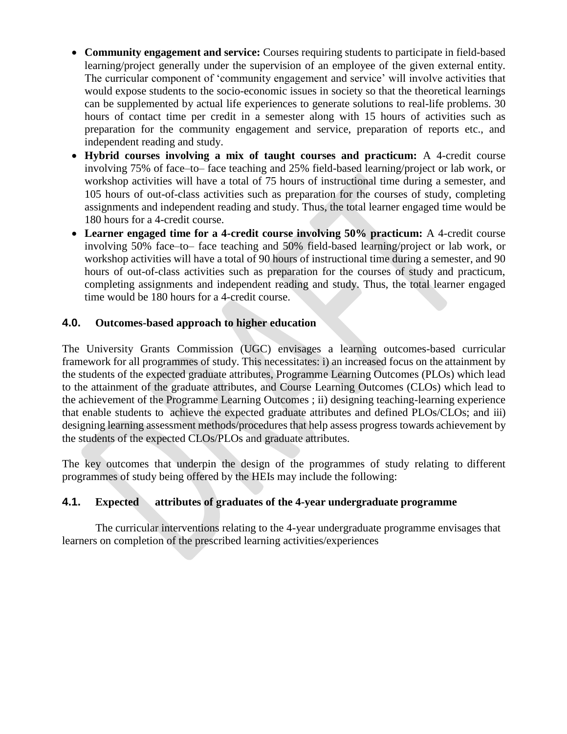- **Community engagement and service:** Courses requiring students to participate in field-based learning/project generally under the supervision of an employee of the given external entity. The curricular component of 'community engagement and service' will involve activities that would expose students to the socio-economic issues in society so that the theoretical learnings can be supplemented by actual life experiences to generate solutions to real-life problems. 30 hours of contact time per credit in a semester along with 15 hours of activities such as preparation for the community engagement and service, preparation of reports etc., and independent reading and study.
- **Hybrid courses involving a mix of taught courses and practicum:** A 4-credit course involving 75% of face–to– face teaching and 25% field-based learning/project or lab work, or workshop activities will have a total of 75 hours of instructional time during a semester, and 105 hours of out-of-class activities such as preparation for the courses of study, completing assignments and independent reading and study. Thus, the total learner engaged time would be 180 hours for a 4-credit course.
- **Learner engaged time for a 4-credit course involving 50% practicum:** A 4-credit course involving 50% face–to– face teaching and 50% field-based learning/project or lab work, or workshop activities will have a total of 90 hours of instructional time during a semester, and 90 hours of out-of-class activities such as preparation for the courses of study and practicum, completing assignments and independent reading and study. Thus, the total learner engaged time would be 180 hours for a 4-credit course.

#### **4.0. Outcomes-based approach to higher education**

The University Grants Commission (UGC) envisages a learning outcomes-based curricular framework for all programmes of study. This necessitates: i) an increased focus on the attainment by the students of the expected graduate attributes, Programme Learning Outcomes (PLOs) which lead to the attainment of the graduate attributes, and Course Learning Outcomes (CLOs) which lead to the achievement of the Programme Learning Outcomes ; ii) designing teaching-learning experience that enable students to achieve the expected graduate attributes and defined PLOs/CLOs; and iii) designing learning assessment methods/procedures that help assess progress towards achievement by the students of the expected CLOs/PLOs and graduate attributes.

The key outcomes that underpin the design of the programmes of study relating to different programmes of study being offered by the HEIs may include the following:

#### **4.1. Expected attributes of graduates of the 4-year undergraduate programme**

The curricular interventions relating to the 4-year undergraduate programme envisages that learners on completion of the prescribed learning activities/experiences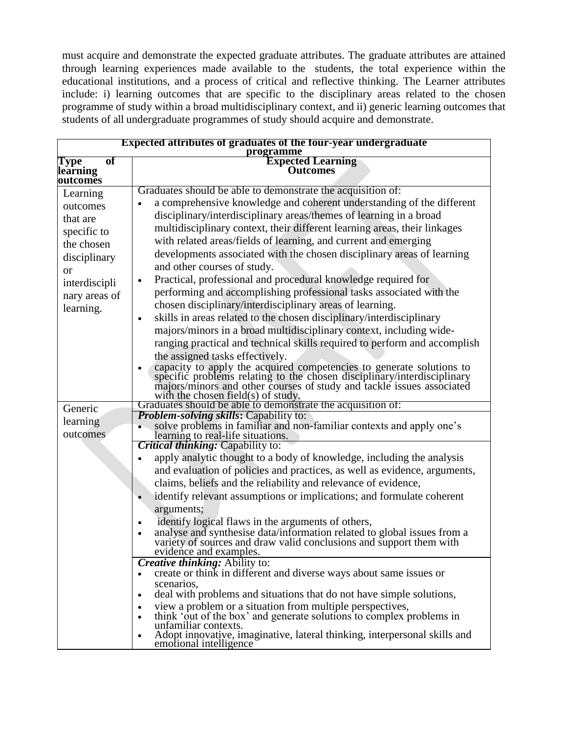must acquire and demonstrate the expected graduate attributes. The graduate attributes are attained through learning experiences made available to the students, the total experience within the educational institutions, and a process of critical and reflective thinking. The Learner attributes include: i) learning outcomes that are specific to the disciplinary areas related to the chosen programme of study within a broad multidisciplinary context, and ii) generic learning outcomes that students of all undergraduate programmes of study should acquire and demonstrate.

| Expected attributes of graduates of the four-year undergraduate<br>programme                                                              |                                                                                                                                                                                                                                                                                                                                                                                                                                                                                                                                                                                                                                                                                                                                                                                                                                                                                                                                                                                                                                                                                                                                                                                                                                                                                                          |
|-------------------------------------------------------------------------------------------------------------------------------------------|----------------------------------------------------------------------------------------------------------------------------------------------------------------------------------------------------------------------------------------------------------------------------------------------------------------------------------------------------------------------------------------------------------------------------------------------------------------------------------------------------------------------------------------------------------------------------------------------------------------------------------------------------------------------------------------------------------------------------------------------------------------------------------------------------------------------------------------------------------------------------------------------------------------------------------------------------------------------------------------------------------------------------------------------------------------------------------------------------------------------------------------------------------------------------------------------------------------------------------------------------------------------------------------------------------|
| of<br>Type<br>learning<br>outcomes                                                                                                        | <b>Expected Learning</b><br><b>Outcomes</b>                                                                                                                                                                                                                                                                                                                                                                                                                                                                                                                                                                                                                                                                                                                                                                                                                                                                                                                                                                                                                                                                                                                                                                                                                                                              |
| Learning<br>outcomes<br>that are<br>specific to<br>the chosen<br>disciplinary<br><b>or</b><br>interdiscipli<br>nary areas of<br>learning. | Graduates should be able to demonstrate the acquisition of:<br>a comprehensive knowledge and coherent understanding of the different<br>$\bullet$<br>disciplinary/interdisciplinary areas/themes of learning in a broad<br>multidisciplinary context, their different learning areas, their linkages<br>with related areas/fields of learning, and current and emerging<br>developments associated with the chosen disciplinary areas of learning<br>and other courses of study.<br>Practical, professional and procedural knowledge required for<br>$\bullet$<br>performing and accomplishing professional tasks associated with the<br>chosen disciplinary/interdisciplinary areas of learning.<br>skills in areas related to the chosen disciplinary/interdisciplinary<br>$\bullet$<br>majors/minors in a broad multidisciplinary context, including wide-<br>ranging practical and technical skills required to perform and accomplish<br>the assigned tasks effectively.<br>capacity to apply the acquired competencies to generate solutions to specific problems relating to the chosen disciplinary/interdisciplinary majors/minors and other courses of study and tackle issues associated<br>with the chosen field(s) of study.<br>Graduates should be able to demonstrate the acquisition of: |
| Generic                                                                                                                                   | <b>Problem-solving skills: Capability to:</b>                                                                                                                                                                                                                                                                                                                                                                                                                                                                                                                                                                                                                                                                                                                                                                                                                                                                                                                                                                                                                                                                                                                                                                                                                                                            |
| learning<br>outcomes                                                                                                                      | solve problems in familiar and non-familiar contexts and apply one's<br>learning to real-life situations.<br>Critical thinking: Capability to:                                                                                                                                                                                                                                                                                                                                                                                                                                                                                                                                                                                                                                                                                                                                                                                                                                                                                                                                                                                                                                                                                                                                                           |
|                                                                                                                                           | apply analytic thought to a body of knowledge, including the analysis<br>and evaluation of policies and practices, as well as evidence, arguments,<br>claims, beliefs and the reliability and relevance of evidence,<br>identify relevant assumptions or implications; and formulate coherent<br>$\bullet$<br>arguments;<br>identify logical flaws in the arguments of others,<br>$\bullet$<br>analyse and synthesise data/information related to global issues from a variety of sources and draw valid conclusions and support them with<br>evidence and examples.<br><b>Creative thinking:</b> Ability to:<br>create or think in different and diverse ways about same issues or<br>$\bullet$                                                                                                                                                                                                                                                                                                                                                                                                                                                                                                                                                                                                         |
|                                                                                                                                           | scenarios,<br>deal with problems and situations that do not have simple solutions,<br>$\bullet$<br>view a problem or a situation from multiple perspectives,<br>think 'out of the box' and generate solutions to complex problems in<br>$\bullet$<br>unfamiliar contexts.<br>Adopt innovative, imaginative, lateral thinking, interpersonal skills and<br>$\bullet$<br>emotional intelligence                                                                                                                                                                                                                                                                                                                                                                                                                                                                                                                                                                                                                                                                                                                                                                                                                                                                                                            |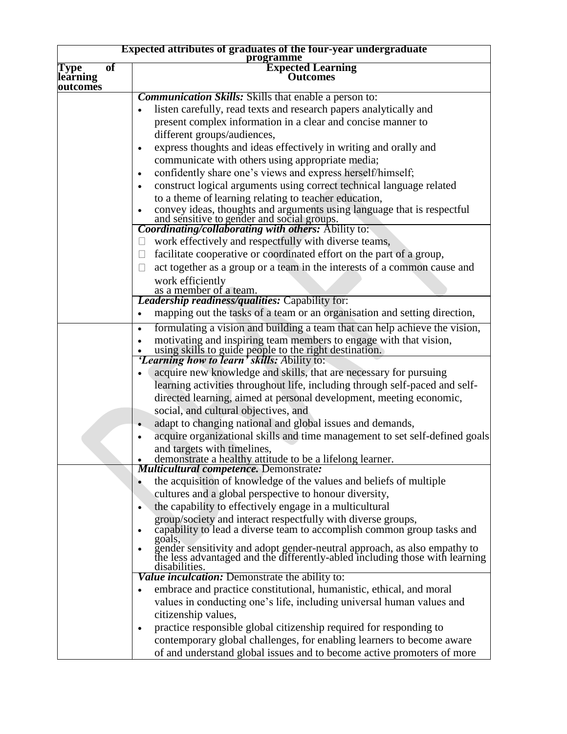| <b>Expected attributes of graduates of the four-year undergraduate</b> |                                                                                                                                                                               |
|------------------------------------------------------------------------|-------------------------------------------------------------------------------------------------------------------------------------------------------------------------------|
| of<br>Type                                                             | programme                                                                                                                                                                     |
| learning                                                               | <b>Expected Learning</b><br>Outcomes                                                                                                                                          |
| outcomes                                                               |                                                                                                                                                                               |
|                                                                        | <b>Communication Skills:</b> Skills that enable a person to:                                                                                                                  |
|                                                                        | listen carefully, read texts and research papers analytically and                                                                                                             |
|                                                                        | present complex information in a clear and concise manner to                                                                                                                  |
|                                                                        | different groups/audiences,                                                                                                                                                   |
|                                                                        | express thoughts and ideas effectively in writing and orally and<br>$\bullet$                                                                                                 |
|                                                                        | communicate with others using appropriate media;                                                                                                                              |
|                                                                        | confidently share one's views and express herself/himself;<br>$\bullet$                                                                                                       |
|                                                                        | construct logical arguments using correct technical language related<br>$\bullet$                                                                                             |
|                                                                        | to a theme of learning relating to teacher education,                                                                                                                         |
|                                                                        |                                                                                                                                                                               |
|                                                                        | • convey ideas, thoughts and arguments using language that is respectful<br>and sensitive to gender and social groups.<br>Coordinating/collaborating with others: Ability to: |
|                                                                        | work effectively and respectfully with diverse teams,<br>$\Box$                                                                                                               |
|                                                                        | facilitate cooperative or coordinated effort on the part of a group,<br>$\Box$                                                                                                |
|                                                                        | act together as a group or a team in the interests of a common cause and<br>$\Box$                                                                                            |
|                                                                        | work efficiently                                                                                                                                                              |
|                                                                        | as a member of a team.                                                                                                                                                        |
|                                                                        | <b>Leadership readiness/qualities: Capability for:</b>                                                                                                                        |
|                                                                        | mapping out the tasks of a team or an organisation and setting direction,<br>$\bullet$                                                                                        |
|                                                                        | formulating a vision and building a team that can help achieve the vision,<br>$\bullet$                                                                                       |
|                                                                        | motivating and inspiring team members to engage with that vision,                                                                                                             |
|                                                                        | • using skills to guide people to the right destination.<br><i>Learning how to learn' skills: Ability to:</i>                                                                 |
|                                                                        |                                                                                                                                                                               |
|                                                                        | acquire new knowledge and skills, that are necessary for pursuing                                                                                                             |
|                                                                        | learning activities throughout life, including through self-paced and self-                                                                                                   |
|                                                                        | directed learning, aimed at personal development, meeting economic,                                                                                                           |
|                                                                        | social, and cultural objectives, and                                                                                                                                          |
|                                                                        | adapt to changing national and global issues and demands,                                                                                                                     |
|                                                                        | acquire organizational skills and time management to set self-defined goals                                                                                                   |
|                                                                        | and targets with timelines,<br>demonstrate a healthy attitude to be a lifelong learner.                                                                                       |
|                                                                        | <b>Multicultural competence.</b> Demonstrate:                                                                                                                                 |
|                                                                        | the acquisition of knowledge of the values and beliefs of multiple                                                                                                            |
|                                                                        | cultures and a global perspective to honour diversity,                                                                                                                        |
|                                                                        | the capability to effectively engage in a multicultural<br>$\bullet$                                                                                                          |
|                                                                        | group/society and interact respectfully with diverse groups,                                                                                                                  |
|                                                                        | capability to lead a diverse team to accomplish common group tasks and                                                                                                        |
|                                                                        | goals,                                                                                                                                                                        |
|                                                                        | gender sensitivity and adopt gender-neutral approach, as also empathy to the less advantaged and the differently-abled including those with learning                          |
|                                                                        | disabilities.                                                                                                                                                                 |
|                                                                        | Value inculcation: Demonstrate the ability to:                                                                                                                                |
|                                                                        | embrace and practice constitutional, humanistic, ethical, and moral                                                                                                           |
|                                                                        | values in conducting one's life, including universal human values and                                                                                                         |
|                                                                        | citizenship values,                                                                                                                                                           |
|                                                                        | practice responsible global citizenship required for responding to<br>$\bullet$                                                                                               |
|                                                                        | contemporary global challenges, for enabling learners to become aware                                                                                                         |
|                                                                        | of and understand global issues and to become active promoters of more                                                                                                        |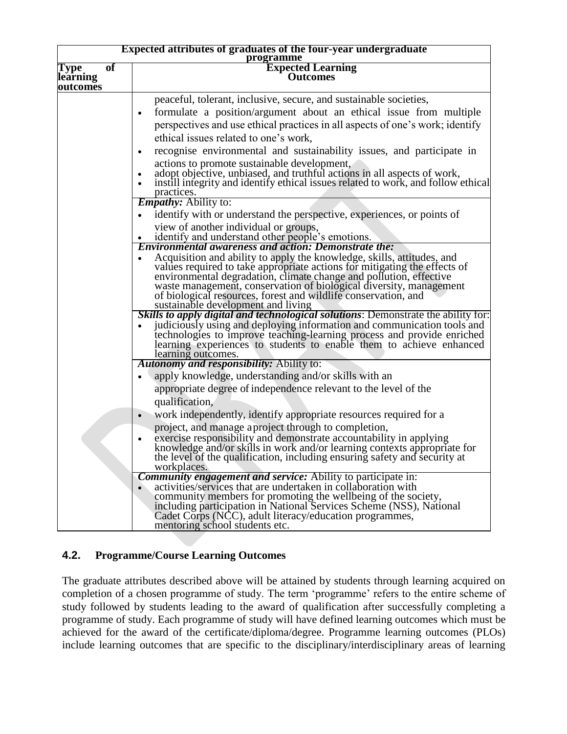| <b>Expected attributes of graduates of the four-year undergraduate</b><br>programme |                                                                                                                                                                                                                                                                                                                                                                                                                                                                                                                                                                                                                                                                                                                                                                                         |
|-------------------------------------------------------------------------------------|-----------------------------------------------------------------------------------------------------------------------------------------------------------------------------------------------------------------------------------------------------------------------------------------------------------------------------------------------------------------------------------------------------------------------------------------------------------------------------------------------------------------------------------------------------------------------------------------------------------------------------------------------------------------------------------------------------------------------------------------------------------------------------------------|
| $\overline{of}$<br><b>Type</b><br>learning<br>outcomes                              | <b>Expected Learning</b><br><b>Outcomes</b>                                                                                                                                                                                                                                                                                                                                                                                                                                                                                                                                                                                                                                                                                                                                             |
|                                                                                     | peaceful, tolerant, inclusive, secure, and sustainable societies,<br>formulate a position/argument about an ethical issue from multiple<br>$\bullet$<br>perspectives and use ethical practices in all aspects of one's work; identify<br>ethical issues related to one's work,<br>recognise environmental and sustainability issues, and participate in<br>٠<br>actions to promote sustainable development,<br>adopt objective, unbiased, and truthful actions in all aspects of work,<br>instill integrity and identify ethical issues related to work, and follow ethical<br>practices.                                                                                                                                                                                               |
|                                                                                     | <b><i>Empathy:</i></b> Ability to:<br>identify with or understand the perspective, experiences, or points of<br>view of another individual or groups,<br>identify and understand other people's emotions.                                                                                                                                                                                                                                                                                                                                                                                                                                                                                                                                                                               |
|                                                                                     | <b>Environmental awareness and action: Demonstrate the:</b><br>Acquisition and ability to apply the knowledge, skills, attitudes, and<br>values required to take appropriate actions for mitigating the effects of<br>environmental degradation, climate change and pollution, effective<br>waste management, conservation of biological diversity, management<br>of biological resources, forest and wildlife conservation, and<br>sustainable development and living<br>Skills to apply digital and technological solutions: Demonstrate the ability for:<br>judiciously using and deploying information and communication tools and<br>technologies to improve teaching-learning process and provide enriched<br>learning experiences to students to enable them to achieve enhanced |
|                                                                                     | learning outcomes.<br><b>Autonomy and responsibility:</b> Ability to:<br>apply knowledge, understanding and/or skills with an<br>appropriate degree of independence relevant to the level of the<br>qualification,                                                                                                                                                                                                                                                                                                                                                                                                                                                                                                                                                                      |
|                                                                                     | work independently, identify appropriate resources required for a<br>$\bullet$<br>project, and manage aproject through to completion,<br>exercise responsibility and demonstrate accountability in applying<br>knowledge and/or skills in work and/or learning contexts appropriate for<br>the level of the qualification, including ensuring safety and security at<br>workplaces.                                                                                                                                                                                                                                                                                                                                                                                                     |
|                                                                                     | <b>Community engagement and service:</b> Ability to participate in:<br>activities/services that are undertaken in collaboration with<br>community members for promoting the wellbeing of the society,<br>including participation in National Services Scheme (NSS), National<br>Cadet Corps (NCC), adult literacy/education programmes,<br>mentoring school students etc.                                                                                                                                                                                                                                                                                                                                                                                                               |

### **4.2. Programme/Course Learning Outcomes**

The graduate attributes described above will be attained by students through learning acquired on completion of a chosen programme of study. The term 'programme' refers to the entire scheme of study followed by students leading to the award of qualification after successfully completing a programme of study. Each programme of study will have defined learning outcomes which must be achieved for the award of the certificate/diploma/degree. Programme learning outcomes (PLOs) include learning outcomes that are specific to the disciplinary/interdisciplinary areas of learning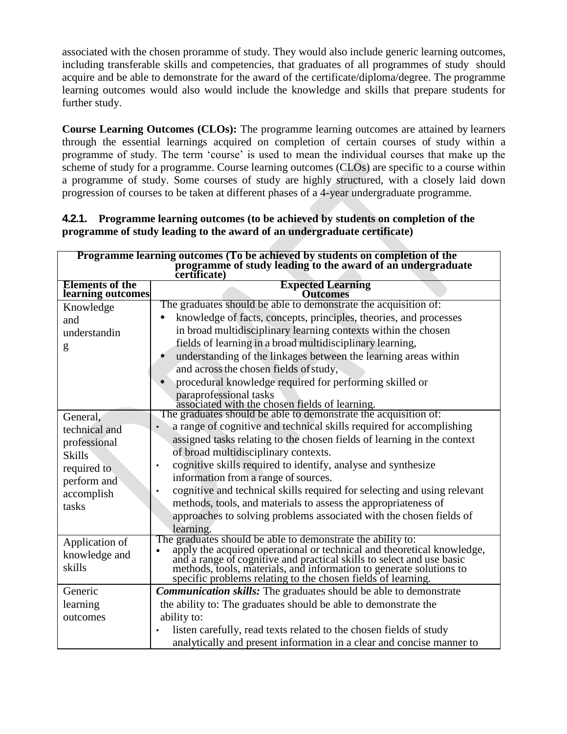associated with the chosen proramme of study. They would also include generic learning outcomes, including transferable skills and competencies, that graduates of all programmes of study should acquire and be able to demonstrate for the award of the certificate/diploma/degree. The programme learning outcomes would also would include the knowledge and skills that prepare students for further study.

**Course Learning Outcomes (CLOs):** The programme learning outcomes are attained by learners through the essential learnings acquired on completion of certain courses of study within a programme of study. The term 'course' is used to mean the individual courses that make up the scheme of study for a programme. Course learning outcomes (CLOs) are specific to a course within a programme of study. Some courses of study are highly structured, with a closely laid down progression of courses to be taken at different phases of a 4-year undergraduate programme.

| 4.2.1. Programme learning outcomes (to be achieved by students on completion of the |
|-------------------------------------------------------------------------------------|
| programme of study leading to the award of an undergraduate certificate)            |

| Programme learning outcomes (To be achieved by students on completion of the |                                                                                                                                                                                                                                |
|------------------------------------------------------------------------------|--------------------------------------------------------------------------------------------------------------------------------------------------------------------------------------------------------------------------------|
| programme of study leading to the award of an undergraduate                  |                                                                                                                                                                                                                                |
| <b>Elements of the</b><br>learning outcomes                                  | <b>Expected Learning</b><br><b>Outcomes</b>                                                                                                                                                                                    |
| Knowledge                                                                    | The graduates should be able to demonstrate the acquisition of:                                                                                                                                                                |
| and                                                                          | knowledge of facts, concepts, principles, theories, and processes                                                                                                                                                              |
| understandin                                                                 | in broad multidisciplinary learning contexts within the chosen                                                                                                                                                                 |
| g                                                                            | fields of learning in a broad multidisciplinary learning,                                                                                                                                                                      |
|                                                                              | understanding of the linkages between the learning areas within                                                                                                                                                                |
|                                                                              | and across the chosen fields of study,                                                                                                                                                                                         |
|                                                                              | procedural knowledge required for performing skilled or                                                                                                                                                                        |
|                                                                              | paraprofessional tasks                                                                                                                                                                                                         |
|                                                                              | associated with the chosen fields of learning.<br>The graduates should be able to demonstrate the acquisition of:                                                                                                              |
| General,                                                                     | a range of cognitive and technical skills required for accomplishing                                                                                                                                                           |
| technical and                                                                | assigned tasks relating to the chosen fields of learning in the context                                                                                                                                                        |
| professional                                                                 | of broad multidisciplinary contexts.                                                                                                                                                                                           |
| <b>Skills</b>                                                                | cognitive skills required to identify, analyse and synthesize<br>$\bullet$                                                                                                                                                     |
| required to                                                                  | information from a range of sources.                                                                                                                                                                                           |
| perform and                                                                  | cognitive and technical skills required for selecting and using relevant                                                                                                                                                       |
| accomplish                                                                   | methods, tools, and materials to assess the appropriateness of                                                                                                                                                                 |
| tasks                                                                        | approaches to solving problems associated with the chosen fields of                                                                                                                                                            |
|                                                                              | learning.                                                                                                                                                                                                                      |
| Application of                                                               | The graduates should be able to demonstrate the ability to:                                                                                                                                                                    |
|                                                                              |                                                                                                                                                                                                                                |
| knowledge and<br>skills                                                      |                                                                                                                                                                                                                                |
|                                                                              | spelly the acquired operational or technical and theoretical knowledge, and a range of cognitive and practical skills to select and use basic methods, tools, materials, and information to generate solutions to specific pro |
| Generic                                                                      | <b>Communication skills:</b> The graduates should be able to demonstrate                                                                                                                                                       |
| learning                                                                     | the ability to: The graduates should be able to demonstrate the                                                                                                                                                                |
| outcomes                                                                     | ability to:                                                                                                                                                                                                                    |
|                                                                              | listen carefully, read texts related to the chosen fields of study                                                                                                                                                             |
|                                                                              | analytically and present information in a clear and concise manner to                                                                                                                                                          |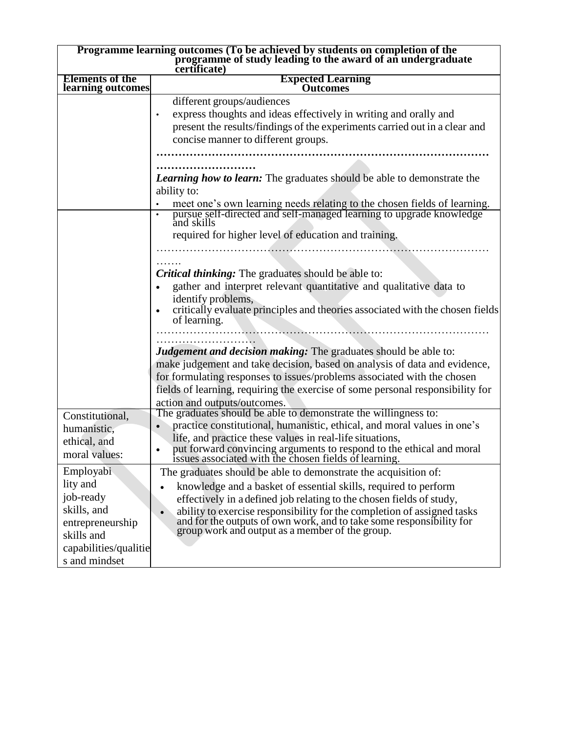| Programme learning outcomes (To be achieved by students on completion of the<br>programme of study leading to the award of an undergraduate |                                                                                                                            |
|---------------------------------------------------------------------------------------------------------------------------------------------|----------------------------------------------------------------------------------------------------------------------------|
|                                                                                                                                             | certificate)                                                                                                               |
| <b>Elements of the</b><br>learning outcomes                                                                                                 | <b>Expected Learning</b><br>Outcomes                                                                                       |
|                                                                                                                                             | different groups/audiences                                                                                                 |
|                                                                                                                                             | express thoughts and ideas effectively in writing and orally and                                                           |
|                                                                                                                                             | present the results/findings of the experiments carried out in a clear and                                                 |
|                                                                                                                                             | concise manner to different groups.                                                                                        |
|                                                                                                                                             |                                                                                                                            |
|                                                                                                                                             |                                                                                                                            |
|                                                                                                                                             | <b>Learning how to learn:</b> The graduates should be able to demonstrate the                                              |
|                                                                                                                                             | ability to:                                                                                                                |
|                                                                                                                                             | meet one's own learning needs relating to the chosen fields of learning.                                                   |
|                                                                                                                                             | pursue self-directed and self-managed learning to upgrade knowledge                                                        |
|                                                                                                                                             | and skills                                                                                                                 |
|                                                                                                                                             | required for higher level of education and training.                                                                       |
|                                                                                                                                             |                                                                                                                            |
|                                                                                                                                             |                                                                                                                            |
|                                                                                                                                             | <b>Critical thinking:</b> The graduates should be able to:                                                                 |
|                                                                                                                                             | gather and interpret relevant quantitative and qualitative data to                                                         |
|                                                                                                                                             | identify problems,<br>critically evaluate principles and theories associated with the chosen fields                        |
|                                                                                                                                             | of learning.                                                                                                               |
|                                                                                                                                             |                                                                                                                            |
|                                                                                                                                             |                                                                                                                            |
|                                                                                                                                             | <b>Judgement and decision making:</b> The graduates should be able to:                                                     |
|                                                                                                                                             | make judgement and take decision, based on analysis of data and evidence,                                                  |
|                                                                                                                                             | for formulating responses to issues/problems associated with the chosen                                                    |
|                                                                                                                                             | fields of learning, requiring the exercise of some personal responsibility for                                             |
|                                                                                                                                             | action and outputs/outcomes.<br>The graduates should be able to demonstrate the willingness to:                            |
| Constitutional,                                                                                                                             | practice constitutional, humanistic, ethical, and moral values in one's                                                    |
| humanistic,                                                                                                                                 | life, and practice these values in real-life situations,                                                                   |
| ethical, and                                                                                                                                |                                                                                                                            |
| moral values:                                                                                                                               | put forward convincing arguments to respond to the ethical and moral issues associated with the chosen fields of learning. |
| Employabi                                                                                                                                   | The graduates should be able to demonstrate the acquisition of:                                                            |
| lity and                                                                                                                                    | knowledge and a basket of essential skills, required to perform                                                            |
| job-ready                                                                                                                                   | effectively in a defined job relating to the chosen fields of study,                                                       |
| skills, and                                                                                                                                 | ability to exercise responsibility for the completion of assigned tasks                                                    |
| entrepreneurship                                                                                                                            | and for the outputs of own work, and to take some responsibility for                                                       |
| skills and                                                                                                                                  | group work and output as a member of the group.                                                                            |
| capabilities/qualitie                                                                                                                       |                                                                                                                            |
| s and mindset                                                                                                                               |                                                                                                                            |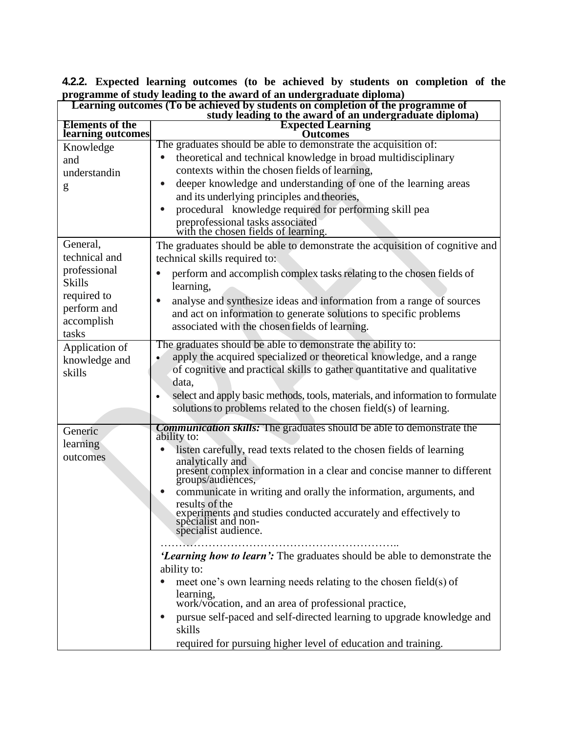| Learning outcomes (To be achieved by students on completion of the programme of<br>study leading to the award of an undergraduate diploma)                                                                                 |                                                                                                                                                                                                                                                                                                                                                                                                                                                                                                                                                                                                                                                                                                                                                                                                                                                                                                    |
|----------------------------------------------------------------------------------------------------------------------------------------------------------------------------------------------------------------------------|----------------------------------------------------------------------------------------------------------------------------------------------------------------------------------------------------------------------------------------------------------------------------------------------------------------------------------------------------------------------------------------------------------------------------------------------------------------------------------------------------------------------------------------------------------------------------------------------------------------------------------------------------------------------------------------------------------------------------------------------------------------------------------------------------------------------------------------------------------------------------------------------------|
| <b>Elements of the</b>                                                                                                                                                                                                     | <b>Expected Learning</b><br><b>Outcomes</b>                                                                                                                                                                                                                                                                                                                                                                                                                                                                                                                                                                                                                                                                                                                                                                                                                                                        |
| learning outcomes<br>Knowledge<br>and<br>understandin<br>g<br>General,<br>technical and<br>professional<br><b>Skills</b><br>required to<br>perform and<br>accomplish<br>tasks<br>Application of<br>knowledge and<br>skills | The graduates should be able to demonstrate the acquisition of:<br>theoretical and technical knowledge in broad multidisciplinary<br>contexts within the chosen fields of learning,<br>deeper knowledge and understanding of one of the learning areas<br>and its underlying principles and theories,<br>procedural knowledge required for performing skill pea<br>preprofessional tasks associated<br>with the chosen fields of learning.<br>The graduates should be able to demonstrate the acquisition of cognitive and<br>technical skills required to:<br>perform and accomplish complex tasks relating to the chosen fields of<br>learning,<br>analyse and synthesize ideas and information from a range of sources                                                                                                                                                                          |
|                                                                                                                                                                                                                            | and act on information to generate solutions to specific problems<br>associated with the chosen fields of learning.<br>The graduates should be able to demonstrate the ability to:<br>apply the acquired specialized or theoretical knowledge, and a range<br>of cognitive and practical skills to gather quantitative and qualitative<br>data,<br>select and apply basic methods, tools, materials, and information to formulate<br>$\bullet$<br>solutions to problems related to the chosen field(s) of learning.                                                                                                                                                                                                                                                                                                                                                                                |
| Generic<br>learning<br>outcomes                                                                                                                                                                                            | <b>Communication skills:</b> The graduates should be able to demonstrate the<br>ability to:<br>listen carefully, read texts related to the chosen fields of learning<br>analytically and<br>present complex information in a clear and concise manner to different<br>groups/audiences,<br>communicate in writing and orally the information, arguments, and<br>results of the<br>experiments and studies conducted accurately and effectively to specialist and non-<br>specialist audience.<br>'Learning how to learn': The graduates should be able to demonstrate the<br>ability to:<br>meet one's own learning needs relating to the chosen field(s) of<br>learning,<br>work/vocation, and an area of professional practice,<br>pursue self-paced and self-directed learning to upgrade knowledge and<br>$\bullet$<br>skills<br>required for pursuing higher level of education and training. |

**4.2.2. Expected learning outcomes (to be achieved by students on completion of the programme of study leading to the award of an undergraduate diploma)**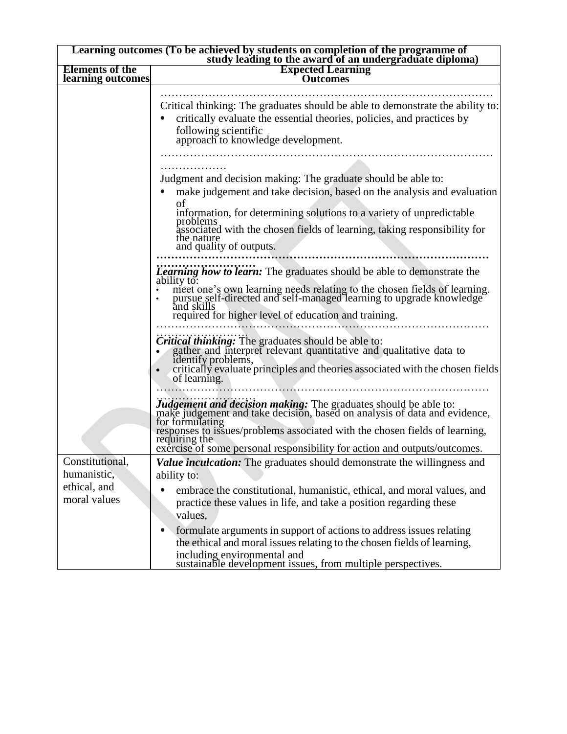| Learning outcomes (To be achieved by students on completion of the programme of<br>study leading to the award of an undergraduate diploma) |                                                                                                                                                                                                                                                                                                                                                                                                                                                                                   |  |
|--------------------------------------------------------------------------------------------------------------------------------------------|-----------------------------------------------------------------------------------------------------------------------------------------------------------------------------------------------------------------------------------------------------------------------------------------------------------------------------------------------------------------------------------------------------------------------------------------------------------------------------------|--|
| <b>Elements of the</b><br>learning outcomes                                                                                                | <b>Expected Learning</b><br><b>Outcomes</b>                                                                                                                                                                                                                                                                                                                                                                                                                                       |  |
|                                                                                                                                            | Critical thinking: The graduates should be able to demonstrate the ability to:<br>critically evaluate the essential theories, policies, and practices by<br>following scientific<br>approach to knowledge development.                                                                                                                                                                                                                                                            |  |
|                                                                                                                                            | Judgment and decision making: The graduate should be able to:<br>make judgement and take decision, based on the analysis and evaluation<br>of<br>information, for determining solutions to a variety of unpredictable<br>problems<br>associated with the chosen fields of learning, taking responsibility for<br>the nature<br>and quality of outputs.                                                                                                                            |  |
|                                                                                                                                            | <b>Learning how to learn:</b> The graduates should be able to demonstrate the<br>ability to:<br>meet one's own learning needs relating to the chosen fields of learning.<br>pursue self-directed and self-managed learning to upgrade knowledge<br>and skills<br>required for higher level of education and training.<br><b>Critical thinking:</b> The graduates should be able to:<br>• gather and interpret relevant quantitative and qualitative data to<br>identify problems, |  |
|                                                                                                                                            | critically evaluate principles and theories associated with the chosen fields<br>of learning.<br>Judgement and decision making: The graduates should be able to:<br>make judgement and take decision, based on analysis of data and evidence,<br>for formulating<br>responses to issues/problems associated with the chosen fields of learning,<br>requiring the<br>exercise of some personal responsibility for action and outputs/outcomes.                                     |  |
| Constitutional,<br>humanistic,<br>ethical, and<br>moral values                                                                             | <b>Value inculcation:</b> The graduates should demonstrate the willingness and<br>ability to:<br>embrace the constitutional, humanistic, ethical, and moral values, and<br>practice these values in life, and take a position regarding these                                                                                                                                                                                                                                     |  |
|                                                                                                                                            | values,<br>formulate arguments in support of actions to address issues relating<br>the ethical and moral issues relating to the chosen fields of learning,<br>including environmental and<br>sustainable development issues, from multiple perspectives.                                                                                                                                                                                                                          |  |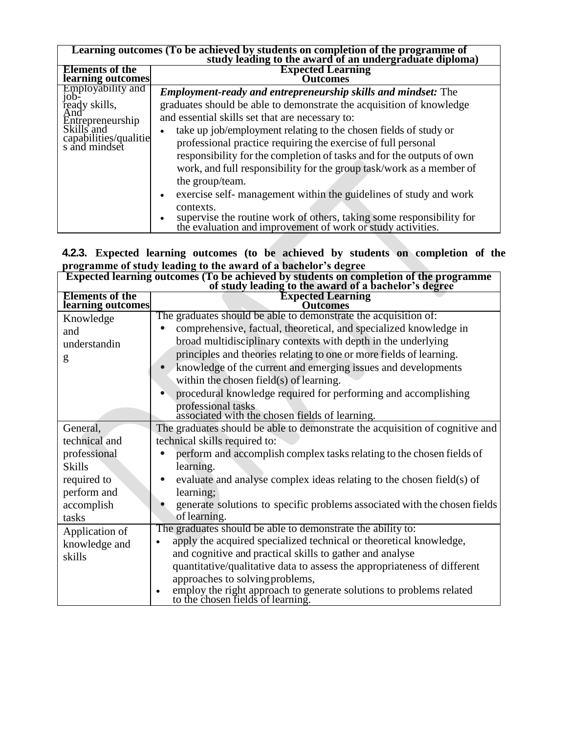| Learning outcomes (To be achieved by students on completion of the programme of study leading to the award of an undergraduate diploma) |                                                                                                                                                                                                                                                                                                                                                                                                                                                                                                                                                                                                                                                                                                                                                     |
|-----------------------------------------------------------------------------------------------------------------------------------------|-----------------------------------------------------------------------------------------------------------------------------------------------------------------------------------------------------------------------------------------------------------------------------------------------------------------------------------------------------------------------------------------------------------------------------------------------------------------------------------------------------------------------------------------------------------------------------------------------------------------------------------------------------------------------------------------------------------------------------------------------------|
| <b>Elements of the</b><br>learning outcomes                                                                                             | <b>Expected Learning</b><br><b>Dutcomes</b>                                                                                                                                                                                                                                                                                                                                                                                                                                                                                                                                                                                                                                                                                                         |
| Employability and<br>job-<br>ready skills,<br>And<br>Entrepreneurship<br>Skills and<br>capabilities/qualitie<br>s and mindset           | <b>Employment-ready and entrepreneurship skills and mindset:</b> The<br>graduates should be able to demonstrate the acquisition of knowledge<br>and essential skills set that are necessary to:<br>take up job/employment relating to the chosen fields of study or<br>professional practice requiring the exercise of full personal<br>responsibility for the completion of tasks and for the outputs of own<br>work, and full responsibility for the group task/work as a member of<br>the group/team.<br>exercise self- management within the guidelines of study and work<br>$\bullet$<br>contexts.<br>supervise the routine work of others, taking some responsibility for<br>٠<br>the evaluation and improvement of work or study activities. |

#### **4.2.3. Expected learning outcomes (to be achieved by students on completion of the programme of study leading to the award of a bachelor's degree**

| <b>Expected learning outcomes (To be achieved by students on completion of the programme of study leading to the award of a bachelor's degree</b> |                                                                                                       |
|---------------------------------------------------------------------------------------------------------------------------------------------------|-------------------------------------------------------------------------------------------------------|
| <b>Elements of the</b><br>learning outcomes                                                                                                       | <b>Expected Learning</b><br>Outcomes                                                                  |
| Knowledge                                                                                                                                         | The graduates should be able to demonstrate the acquisition of:                                       |
| and                                                                                                                                               | comprehensive, factual, theoretical, and specialized knowledge in                                     |
| understandin                                                                                                                                      | broad multidisciplinary contexts with depth in the underlying                                         |
| g                                                                                                                                                 | principles and theories relating to one or more fields of learning.                                   |
|                                                                                                                                                   | knowledge of the current and emerging issues and developments                                         |
|                                                                                                                                                   | within the chosen field( $s$ ) of learning.                                                           |
|                                                                                                                                                   | procedural knowledge required for performing and accomplishing                                        |
|                                                                                                                                                   | professional tasks<br>associated with the chosen fields of learning.                                  |
| General,                                                                                                                                          | The graduates should be able to demonstrate the acquisition of cognitive and                          |
| technical and                                                                                                                                     | technical skills required to:                                                                         |
| professional                                                                                                                                      | perform and accomplish complex tasks relating to the chosen fields of                                 |
| <b>Skills</b>                                                                                                                                     | learning.                                                                                             |
| required to                                                                                                                                       | evaluate and analyse complex ideas relating to the chosen field(s) of                                 |
| perform and                                                                                                                                       | learning;                                                                                             |
| accomplish                                                                                                                                        | generate solutions to specific problems associated with the chosen fields                             |
| tasks                                                                                                                                             | of learning.                                                                                          |
| Application of                                                                                                                                    | The graduates should be able to demonstrate the ability to:                                           |
| knowledge and                                                                                                                                     | apply the acquired specialized technical or theoretical knowledge,<br>$\bullet$                       |
| skills                                                                                                                                            | and cognitive and practical skills to gather and analyse                                              |
|                                                                                                                                                   | quantitative/qualitative data to assess the appropriateness of different                              |
|                                                                                                                                                   | approaches to solving problems,                                                                       |
|                                                                                                                                                   | employ the right approach to generate solutions to problems related to the chosen fields of learning. |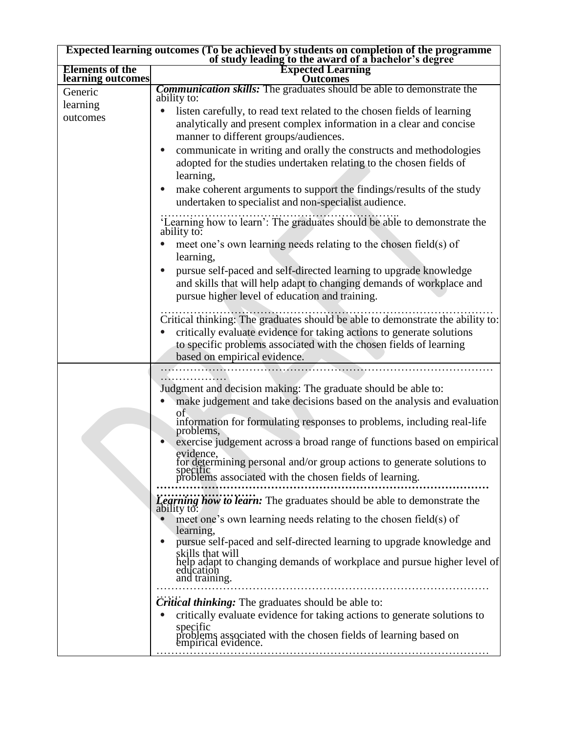| Expected learning outcomes (To be achieved by students on completion of the programme<br>of study leading to the award of a bachelor's degree |                                                                                                                                                                                                                                                                                                                                    |
|-----------------------------------------------------------------------------------------------------------------------------------------------|------------------------------------------------------------------------------------------------------------------------------------------------------------------------------------------------------------------------------------------------------------------------------------------------------------------------------------|
| <b>Elements of the</b><br>learning outcomes                                                                                                   | <b>Expected Learning</b><br><b>Outcomes</b>                                                                                                                                                                                                                                                                                        |
| Generic<br>learning                                                                                                                           | <b>Communication skills:</b> The graduates should be able to demonstrate the<br>ability to:<br>listen carefully, to read text related to the chosen fields of learning                                                                                                                                                             |
| outcomes                                                                                                                                      | analytically and present complex information in a clear and concise<br>manner to different groups/audiences.<br>communicate in writing and orally the constructs and methodologies<br>$\bullet$<br>adopted for the studies undertaken relating to the chosen fields of                                                             |
|                                                                                                                                               | learning,<br>make coherent arguments to support the findings/results of the study<br>$\bullet$<br>undertaken to specialist and non-specialist audience.                                                                                                                                                                            |
|                                                                                                                                               | 'Learning how to learn': The graduates should be able to demonstrate the<br>ability to:                                                                                                                                                                                                                                            |
|                                                                                                                                               | meet one's own learning needs relating to the chosen field(s) of<br>learning,                                                                                                                                                                                                                                                      |
|                                                                                                                                               | pursue self-paced and self-directed learning to upgrade knowledge<br>and skills that will help adapt to changing demands of workplace and<br>pursue higher level of education and training.                                                                                                                                        |
|                                                                                                                                               | Critical thinking: The graduates should be able to demonstrate the ability to:<br>critically evaluate evidence for taking actions to generate solutions<br>to specific problems associated with the chosen fields of learning<br>based on empirical evidence.                                                                      |
|                                                                                                                                               | Judgment and decision making: The graduate should be able to:<br>make judgement and take decisions based on the analysis and evaluation                                                                                                                                                                                            |
|                                                                                                                                               | οf<br>information for formulating responses to problems, including real-life<br>problems,<br>exercise judgement across a broad range of functions based on empirical<br>evidence,<br>for determining personal and/or group actions to generate solutions to<br>specific<br>problems associated with the chosen fields of learning. |
|                                                                                                                                               | <b>Learning how to learn:</b> The graduates should be able to demonstrate the<br>ability to:<br>meet one's own learning needs relating to the chosen field(s) of                                                                                                                                                                   |
|                                                                                                                                               | learning,<br>pursue self-paced and self-directed learning to upgrade knowledge and<br>skills that will<br>help adapt to changing demands of workplace and pursue higher level of<br>education<br>and training.                                                                                                                     |
|                                                                                                                                               | <b>Critical thinking:</b> The graduates should be able to:                                                                                                                                                                                                                                                                         |
|                                                                                                                                               | critically evaluate evidence for taking actions to generate solutions to<br>specific<br>problems associated with the chosen fields of learning based on empirical evidence.                                                                                                                                                        |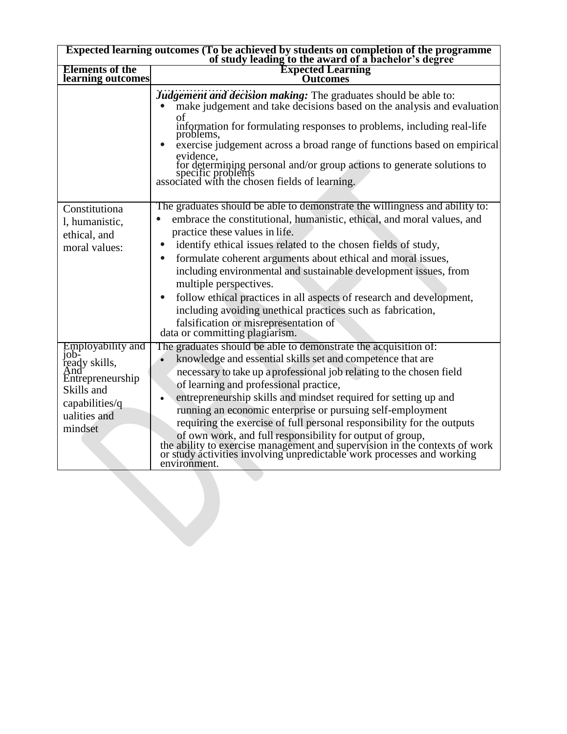| Expected learning outcomes (To be achieved by students on completion of the programme<br>of study leading to the award of a bachelor's degree |                                                                                                                                                                                                                                                                                                                                                                                                                                                                                                                                                                                                                                                                                                 |  |
|-----------------------------------------------------------------------------------------------------------------------------------------------|-------------------------------------------------------------------------------------------------------------------------------------------------------------------------------------------------------------------------------------------------------------------------------------------------------------------------------------------------------------------------------------------------------------------------------------------------------------------------------------------------------------------------------------------------------------------------------------------------------------------------------------------------------------------------------------------------|--|
| <b>Elements of the</b><br>learning outcomes                                                                                                   | <b>Expected Learning</b><br><b>Outcomes</b>                                                                                                                                                                                                                                                                                                                                                                                                                                                                                                                                                                                                                                                     |  |
|                                                                                                                                               | Judgement and decision making: The graduates should be able to:<br>make judgement and take decisions based on the analysis and evaluation<br>information for formulating responses to problems, including real-life<br>problems,<br>exercise judgement across a broad range of functions based on empirical<br>evidence,<br>for determining personal and/or group actions to generate solutions to specific problems<br>associated with the chosen fields of learning.                                                                                                                                                                                                                          |  |
| Constitutiona<br>l, humanistic,<br>ethical, and<br>moral values:                                                                              | The graduates should be able to demonstrate the willingness and ability to:<br>embrace the constitutional, humanistic, ethical, and moral values, and<br>practice these values in life.<br>identify ethical issues related to the chosen fields of study,<br>formulate coherent arguments about ethical and moral issues,<br>including environmental and sustainable development issues, from<br>multiple perspectives.<br>follow ethical practices in all aspects of research and development,<br>including avoiding unethical practices such as fabrication,<br>falsification or misrepresentation of<br>data or committing plagiarism.                                                       |  |
| Employability and<br>10 <sub>b</sub><br>ready skills,<br>And'<br>Entrepreneurship<br>Skills and<br>capabilities/q<br>ualities and<br>mindset  | The graduates should be able to demonstrate the acquisition of:<br>knowledge and essential skills set and competence that are<br>necessary to take up a professional job relating to the chosen field<br>of learning and professional practice,<br>entrepreneurship skills and mindset required for setting up and<br>running an economic enterprise or pursuing self-employment<br>requiring the exercise of full personal responsibility for the outputs<br>of own work, and full responsibility for output of group,<br>the ability to exercise management and supervision in the contexts of work<br>or study activities involving unpredictable work processes and working<br>environment. |  |
|                                                                                                                                               |                                                                                                                                                                                                                                                                                                                                                                                                                                                                                                                                                                                                                                                                                                 |  |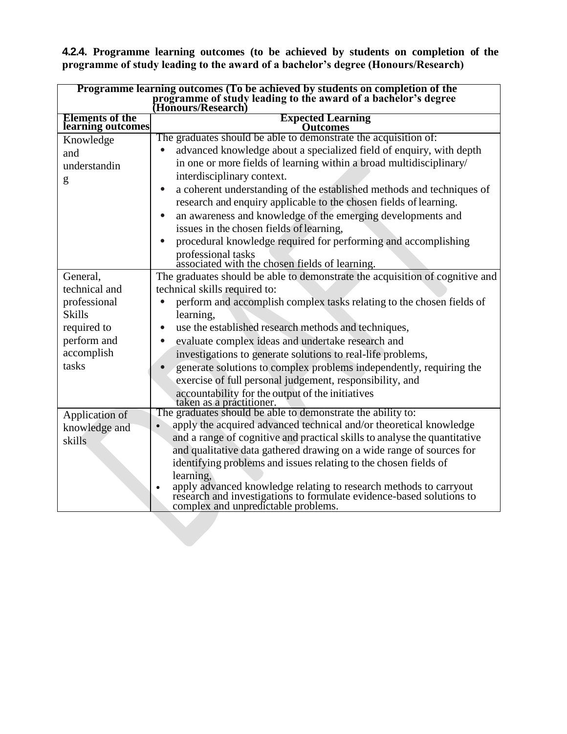**4.2.4. Programme learning outcomes (to be achieved by students on completion of the programme of study leading to the award of a bachelor's degree (Honours/Research)**

| Programme learning outcomes (To be achieved by students on completion of the<br>programme of study leading to the award of a bachelor's degree<br>(Honours/Research) |                                                                                                                                                                                            |  |  |
|----------------------------------------------------------------------------------------------------------------------------------------------------------------------|--------------------------------------------------------------------------------------------------------------------------------------------------------------------------------------------|--|--|
| <b>Elements of the</b><br>learning outcomes                                                                                                                          | <b>Expected Learning</b><br><b>Outcomes</b>                                                                                                                                                |  |  |
| Knowledge                                                                                                                                                            | The graduates should be able to demonstrate the acquisition of:                                                                                                                            |  |  |
| and                                                                                                                                                                  | advanced knowledge about a specialized field of enquiry, with depth                                                                                                                        |  |  |
| understandin                                                                                                                                                         | in one or more fields of learning within a broad multidisciplinary/                                                                                                                        |  |  |
| g                                                                                                                                                                    | interdisciplinary context.                                                                                                                                                                 |  |  |
|                                                                                                                                                                      | a coherent understanding of the established methods and techniques of<br>$\bullet$<br>research and enquiry applicable to the chosen fields of learning.                                    |  |  |
|                                                                                                                                                                      | an awareness and knowledge of the emerging developments and                                                                                                                                |  |  |
|                                                                                                                                                                      | issues in the chosen fields of learning,                                                                                                                                                   |  |  |
|                                                                                                                                                                      | procedural knowledge required for performing and accomplishing                                                                                                                             |  |  |
|                                                                                                                                                                      | professional tasks<br>associated with the chosen fields of learning.                                                                                                                       |  |  |
| General,                                                                                                                                                             | The graduates should be able to demonstrate the acquisition of cognitive and                                                                                                               |  |  |
| technical and                                                                                                                                                        | technical skills required to:                                                                                                                                                              |  |  |
| professional                                                                                                                                                         | perform and accomplish complex tasks relating to the chosen fields of                                                                                                                      |  |  |
| <b>Skills</b>                                                                                                                                                        | learning,                                                                                                                                                                                  |  |  |
| required to                                                                                                                                                          | use the established research methods and techniques,                                                                                                                                       |  |  |
| perform and                                                                                                                                                          | evaluate complex ideas and undertake research and                                                                                                                                          |  |  |
| accomplish                                                                                                                                                           | investigations to generate solutions to real-life problems,                                                                                                                                |  |  |
| tasks                                                                                                                                                                | generate solutions to complex problems independently, requiring the                                                                                                                        |  |  |
|                                                                                                                                                                      | exercise of full personal judgement, responsibility, and                                                                                                                                   |  |  |
|                                                                                                                                                                      | accountability for the output of the initiatives<br>taken as a practitioner.                                                                                                               |  |  |
| Application of                                                                                                                                                       | The graduates should be able to demonstrate the ability to:                                                                                                                                |  |  |
| knowledge and                                                                                                                                                        | apply the acquired advanced technical and/or theoretical knowledge                                                                                                                         |  |  |
| skills                                                                                                                                                               | and a range of cognitive and practical skills to analyse the quantitative                                                                                                                  |  |  |
|                                                                                                                                                                      | and qualitative data gathered drawing on a wide range of sources for                                                                                                                       |  |  |
|                                                                                                                                                                      | identifying problems and issues relating to the chosen fields of                                                                                                                           |  |  |
|                                                                                                                                                                      | learning,                                                                                                                                                                                  |  |  |
|                                                                                                                                                                      | apply advanced knowledge relating to research methods to carryout research and investigations to formulate evidence-based solutions to<br>$\bullet$<br>complex and unpredictable problems. |  |  |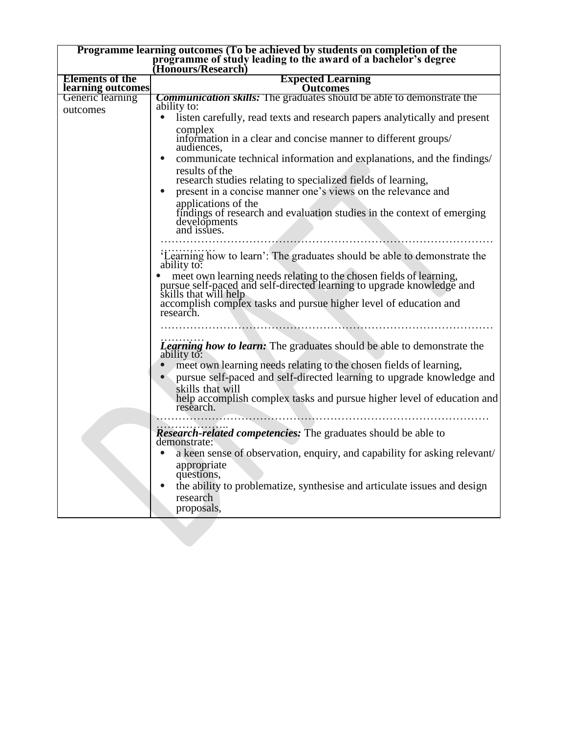| Programme learning outcomes (To be achieved by students on completion of the<br>programme of study leading to the award of a bachelor's degree<br>(Honours/Research) |                                                                                                                                                                      |  |  |
|----------------------------------------------------------------------------------------------------------------------------------------------------------------------|----------------------------------------------------------------------------------------------------------------------------------------------------------------------|--|--|
| <b>Elements of the</b>                                                                                                                                               | <b>Expected Learning</b>                                                                                                                                             |  |  |
| learning outcomes                                                                                                                                                    | <b>Outcomes</b>                                                                                                                                                      |  |  |
| Generic learning                                                                                                                                                     | <b>Communication skills:</b> The graduates should be able to demonstrate the                                                                                         |  |  |
| outcomes                                                                                                                                                             | ability to:<br>listen carefully, read texts and research papers analytically and present                                                                             |  |  |
|                                                                                                                                                                      |                                                                                                                                                                      |  |  |
|                                                                                                                                                                      | complex<br>information in a clear and concise manner to different groups/<br>audiences,                                                                              |  |  |
|                                                                                                                                                                      | communicate technical information and explanations, and the findings/<br>$\bullet$                                                                                   |  |  |
|                                                                                                                                                                      | results of the<br>research studies relating to specialized fields of learning,                                                                                       |  |  |
|                                                                                                                                                                      | present in a concise manner one's views on the relevance and                                                                                                         |  |  |
|                                                                                                                                                                      | applications of the<br>findings of research and evaluation studies in the context of emerging<br>developments<br>and issues.                                         |  |  |
|                                                                                                                                                                      |                                                                                                                                                                      |  |  |
|                                                                                                                                                                      | 'Learning how to learn': The graduates should be able to demonstrate the<br>ability to:                                                                              |  |  |
|                                                                                                                                                                      | meet own learning needs relating to the chosen fields of learning,<br>pursue self-paced and self-directed learning to upgrade knowledge and<br>skills that will help |  |  |
|                                                                                                                                                                      | accomplish complex tasks and pursue higher level of education and<br>research.                                                                                       |  |  |
|                                                                                                                                                                      |                                                                                                                                                                      |  |  |
|                                                                                                                                                                      | <b>Learning how to learn:</b> The graduates should be able to demonstrate the ability to:                                                                            |  |  |
|                                                                                                                                                                      | meet own learning needs relating to the chosen fields of learning,<br>pursue self-paced and self-directed learning to upgrade knowledge and                          |  |  |
|                                                                                                                                                                      | skills that will<br>help accomplish complex tasks and pursue higher level of education and<br>research.                                                              |  |  |
|                                                                                                                                                                      | <b>Research-related competencies:</b> The graduates should be able to<br>demonstrate:                                                                                |  |  |
|                                                                                                                                                                      | a keen sense of observation, enquiry, and capability for asking relevant/<br>appropriate                                                                             |  |  |
|                                                                                                                                                                      | questions,<br>the ability to problematize, synthesise and articulate issues and design<br>research                                                                   |  |  |
|                                                                                                                                                                      | proposals,                                                                                                                                                           |  |  |
|                                                                                                                                                                      |                                                                                                                                                                      |  |  |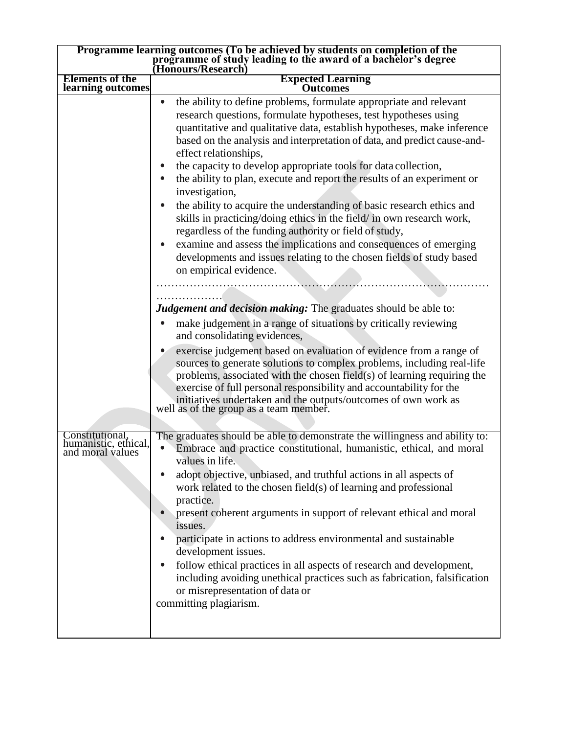| Programme learning outcomes (To be achieved by students on completion of the<br>programme of study leading to the award of a bachelor's degree<br>(Honours/Research) |                                                                                                                                                                                                                                                                                                                                                                                                                                                                                                                                                                                                                                                                                                                                                                                                                                                                                                                                                                                                                                                                                                                                                                                                                                                                                                                                                                                                                                                                      |  |
|----------------------------------------------------------------------------------------------------------------------------------------------------------------------|----------------------------------------------------------------------------------------------------------------------------------------------------------------------------------------------------------------------------------------------------------------------------------------------------------------------------------------------------------------------------------------------------------------------------------------------------------------------------------------------------------------------------------------------------------------------------------------------------------------------------------------------------------------------------------------------------------------------------------------------------------------------------------------------------------------------------------------------------------------------------------------------------------------------------------------------------------------------------------------------------------------------------------------------------------------------------------------------------------------------------------------------------------------------------------------------------------------------------------------------------------------------------------------------------------------------------------------------------------------------------------------------------------------------------------------------------------------------|--|
| <b>Elements of the</b><br>learning outcomes                                                                                                                          | <b>Expected Learning</b><br>Outcomes                                                                                                                                                                                                                                                                                                                                                                                                                                                                                                                                                                                                                                                                                                                                                                                                                                                                                                                                                                                                                                                                                                                                                                                                                                                                                                                                                                                                                                 |  |
|                                                                                                                                                                      | the ability to define problems, formulate appropriate and relevant<br>$\bullet$<br>research questions, formulate hypotheses, test hypotheses using<br>quantitative and qualitative data, establish hypotheses, make inference<br>based on the analysis and interpretation of data, and predict cause-and-<br>effect relationships,<br>the capacity to develop appropriate tools for data collection,<br>the ability to plan, execute and report the results of an experiment or<br>investigation,<br>the ability to acquire the understanding of basic research ethics and<br>skills in practicing/doing ethics in the field/ in own research work,<br>regardless of the funding authority or field of study,<br>examine and assess the implications and consequences of emerging<br>developments and issues relating to the chosen fields of study based<br>on empirical evidence.<br>Judgement and decision making: The graduates should be able to:<br>make judgement in a range of situations by critically reviewing<br>and consolidating evidences,<br>exercise judgement based on evaluation of evidence from a range of<br>sources to generate solutions to complex problems, including real-life<br>problems, associated with the chosen field(s) of learning requiring the<br>exercise of full personal responsibility and accountability for the<br>initiatives undertaken and the outputs/outcomes of own work as well as of the group as a team member. |  |
| Constitutional.<br>humanistic, ethical,<br>and moral values                                                                                                          | The graduates should be able to demonstrate the willingness and ability to:<br>Embrace and practice constitutional, humanistic, ethical, and moral<br>values in life.<br>adopt objective, unbiased, and truthful actions in all aspects of<br>work related to the chosen field(s) of learning and professional<br>practice.<br>present coherent arguments in support of relevant ethical and moral<br>issues.<br>participate in actions to address environmental and sustainable<br>development issues.                                                                                                                                                                                                                                                                                                                                                                                                                                                                                                                                                                                                                                                                                                                                                                                                                                                                                                                                                              |  |
|                                                                                                                                                                      | follow ethical practices in all aspects of research and development,<br>including avoiding unethical practices such as fabrication, falsification<br>or misrepresentation of data or<br>committing plagiarism.                                                                                                                                                                                                                                                                                                                                                                                                                                                                                                                                                                                                                                                                                                                                                                                                                                                                                                                                                                                                                                                                                                                                                                                                                                                       |  |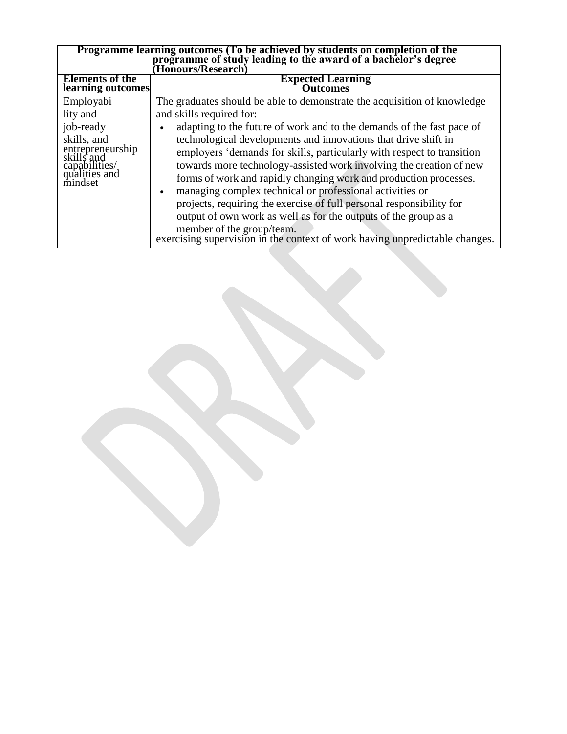| Programme learning outcomes (To be achieved by students on completion of the programme of study leading to the award of a bachelor's degree<br>Honours/Research) |                                                                                                                                                                                                                                                                                                                                                                                                                                                                                                                                                                                                                                                                                           |  |  |
|------------------------------------------------------------------------------------------------------------------------------------------------------------------|-------------------------------------------------------------------------------------------------------------------------------------------------------------------------------------------------------------------------------------------------------------------------------------------------------------------------------------------------------------------------------------------------------------------------------------------------------------------------------------------------------------------------------------------------------------------------------------------------------------------------------------------------------------------------------------------|--|--|
| <b>Elements of the</b><br>learning outcomes                                                                                                                      | <b>Expected Learning</b><br>Outcomes                                                                                                                                                                                                                                                                                                                                                                                                                                                                                                                                                                                                                                                      |  |  |
| Employabi<br>lity and<br>job-ready<br>skills, and<br>entrepreneurship<br>skills and<br>capabilities/<br>qualities and<br>mindset                                 | The graduates should be able to demonstrate the acquisition of knowledge<br>and skills required for:<br>adapting to the future of work and to the demands of the fast pace of<br>technological developments and innovations that drive shift in<br>employers 'demands for skills, particularly with respect to transition<br>towards more technology-assisted work involving the creation of new<br>forms of work and rapidly changing work and production processes.<br>managing complex technical or professional activities or<br>$\bullet$<br>projects, requiring the exercise of full personal responsibility for<br>output of own work as well as for the outputs of the group as a |  |  |
|                                                                                                                                                                  | member of the group/team.<br>exercising supervision in the context of work having unpredictable changes.                                                                                                                                                                                                                                                                                                                                                                                                                                                                                                                                                                                  |  |  |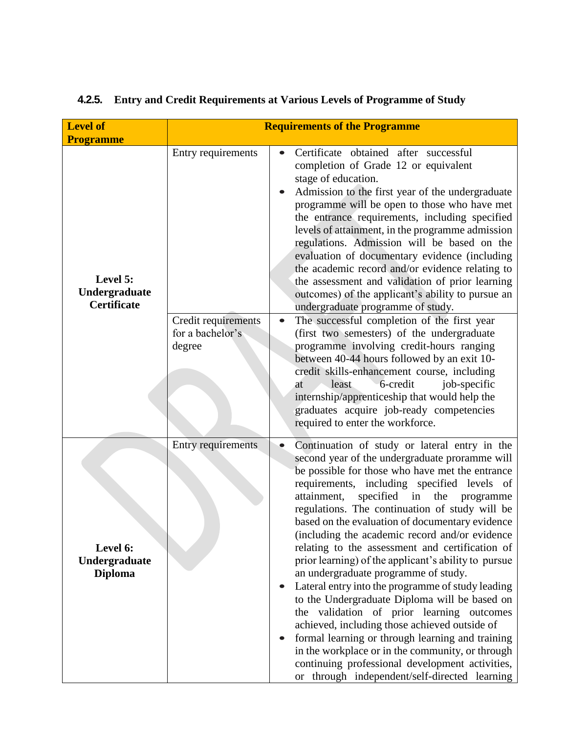| <b>Level of</b>                                 | <b>Requirements of the Programme</b>              |                                                                                                                                                                                                                                                                                                                                                                                                                                                                                                                                                                                                                                                                                                                                                                                                                                                                                                                                                                                                 |  |  |
|-------------------------------------------------|---------------------------------------------------|-------------------------------------------------------------------------------------------------------------------------------------------------------------------------------------------------------------------------------------------------------------------------------------------------------------------------------------------------------------------------------------------------------------------------------------------------------------------------------------------------------------------------------------------------------------------------------------------------------------------------------------------------------------------------------------------------------------------------------------------------------------------------------------------------------------------------------------------------------------------------------------------------------------------------------------------------------------------------------------------------|--|--|
| <b>Programme</b>                                |                                                   |                                                                                                                                                                                                                                                                                                                                                                                                                                                                                                                                                                                                                                                                                                                                                                                                                                                                                                                                                                                                 |  |  |
| Level 5:<br>Undergraduate<br><b>Certificate</b> | Entry requirements                                | Certificate obtained after successful<br>$\bullet$<br>completion of Grade 12 or equivalent<br>stage of education.<br>Admission to the first year of the undergraduate<br>programme will be open to those who have met<br>the entrance requirements, including specified<br>levels of attainment, in the programme admission<br>regulations. Admission will be based on the<br>evaluation of documentary evidence (including<br>the academic record and/or evidence relating to<br>the assessment and validation of prior learning<br>outcomes) of the applicant's ability to pursue an<br>undergraduate programme of study.                                                                                                                                                                                                                                                                                                                                                                     |  |  |
|                                                 | Credit requirements<br>for a bachelor's<br>degree | The successful completion of the first year<br>(first two semesters) of the undergraduate<br>programme involving credit-hours ranging<br>between 40-44 hours followed by an exit 10-<br>credit skills-enhancement course, including<br>6-credit<br>least<br>job-specific<br>at<br>internship/apprenticeship that would help the<br>graduates acquire job-ready competencies<br>required to enter the workforce.                                                                                                                                                                                                                                                                                                                                                                                                                                                                                                                                                                                 |  |  |
| Level 6:<br>Undergraduate<br><b>Diploma</b>     | <b>Entry requirements</b>                         | Continuation of study or lateral entry in the<br>second year of the undergraduate proramme will<br>be possible for those who have met the entrance<br>requirements, including specified levels of<br>specified<br>attainment,<br>in<br>the<br>programme<br>regulations. The continuation of study will be<br>based on the evaluation of documentary evidence<br>(including the academic record and/or evidence)<br>relating to the assessment and certification of<br>prior learning) of the applicant's ability to pursue<br>an undergraduate programme of study.<br>Lateral entry into the programme of study leading<br>$\bullet$<br>to the Undergraduate Diploma will be based on<br>the validation of prior learning outcomes<br>achieved, including those achieved outside of<br>formal learning or through learning and training<br>in the workplace or in the community, or through<br>continuing professional development activities,<br>or through independent/self-directed learning |  |  |

# **4.2.5. Entry and Credit Requirements at Various Levels of Programme of Study**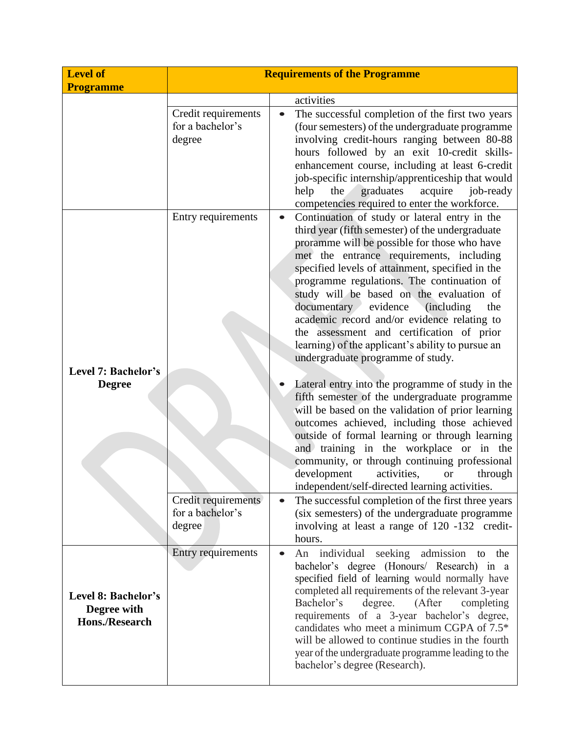| <b>Level of</b><br><b>Programme</b>                         | <b>Requirements of the Programme</b>              |                                                                                                                                                                                                                                                                                                                                                                                                                                                                                                                                                                                                     |  |
|-------------------------------------------------------------|---------------------------------------------------|-----------------------------------------------------------------------------------------------------------------------------------------------------------------------------------------------------------------------------------------------------------------------------------------------------------------------------------------------------------------------------------------------------------------------------------------------------------------------------------------------------------------------------------------------------------------------------------------------------|--|
|                                                             |                                                   | activities                                                                                                                                                                                                                                                                                                                                                                                                                                                                                                                                                                                          |  |
|                                                             | Credit requirements<br>for a bachelor's<br>degree | The successful completion of the first two years<br>(four semesters) of the undergraduate programme<br>involving credit-hours ranging between 80-88<br>hours followed by an exit 10-credit skills-<br>enhancement course, including at least 6-credit<br>job-specific internship/apprenticeship that would<br>help<br>graduates<br>acquire<br>job-ready<br>the<br>competencies required to enter the workforce.                                                                                                                                                                                     |  |
| Level 7: Bachelor's                                         | Entry requirements                                | Continuation of study or lateral entry in the<br>$\bullet$<br>third year (fifth semester) of the undergraduate<br>proramme will be possible for those who have<br>met the entrance requirements, including<br>specified levels of attainment, specified in the<br>programme regulations. The continuation of<br>study will be based on the evaluation of<br>documentary evidence<br><i>(including)</i><br>the<br>academic record and/or evidence relating to<br>the assessment and certification of prior<br>learning) of the applicant's ability to pursue an<br>undergraduate programme of study. |  |
| <b>Degree</b>                                               |                                                   | Lateral entry into the programme of study in the<br>fifth semester of the undergraduate programme<br>will be based on the validation of prior learning<br>outcomes achieved, including those achieved<br>outside of formal learning or through learning<br>and training in the workplace or in the<br>community, or through continuing professional<br>development<br>activities,<br>through<br><b>or</b><br>independent/self-directed learning activities.                                                                                                                                         |  |
|                                                             | Credit requirements<br>for a bachelor's<br>degree | The successful completion of the first three years<br>$\bullet$<br>(six semesters) of the undergraduate programme<br>involving at least a range of 120 -132 credit-<br>hours.                                                                                                                                                                                                                                                                                                                                                                                                                       |  |
| Level 8: Bachelor's<br>Degree with<br><b>Hons./Research</b> | Entry requirements                                | An individual seeking admission to the<br>$\bullet$<br>bachelor's degree (Honours/ Research) in a<br>specified field of learning would normally have<br>completed all requirements of the relevant 3-year<br>(After<br>Bachelor's<br>degree.<br>completing<br>requirements of a 3-year bachelor's degree,<br>candidates who meet a minimum CGPA of 7.5*<br>will be allowed to continue studies in the fourth<br>year of the undergraduate programme leading to the<br>bachelor's degree (Research).                                                                                                 |  |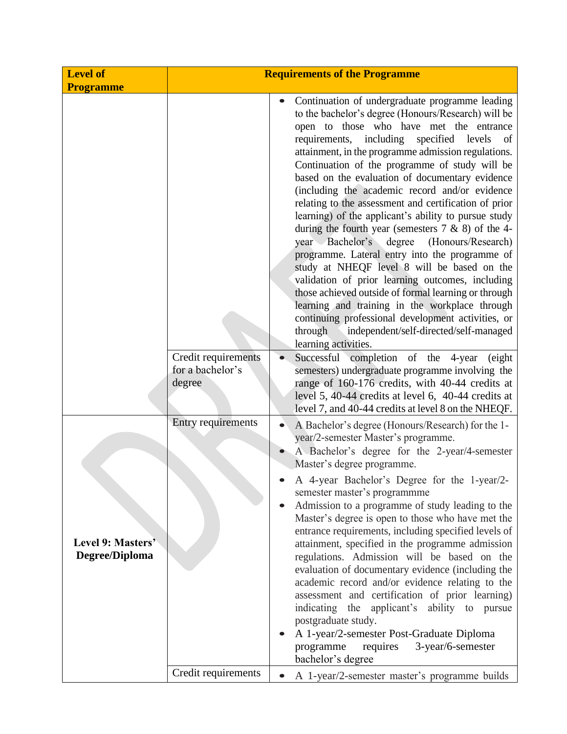| <b>Level of</b><br><b>Programme</b> | <b>Requirements of the Programme</b>              |                                                                                                                                                                                                                                                                                                                                                                                                                                                                                                                                                                                                                                                                                                                                                                                                                                                                                                                                                                                                                                                                                                                                                                                                                                                               |  |
|-------------------------------------|---------------------------------------------------|---------------------------------------------------------------------------------------------------------------------------------------------------------------------------------------------------------------------------------------------------------------------------------------------------------------------------------------------------------------------------------------------------------------------------------------------------------------------------------------------------------------------------------------------------------------------------------------------------------------------------------------------------------------------------------------------------------------------------------------------------------------------------------------------------------------------------------------------------------------------------------------------------------------------------------------------------------------------------------------------------------------------------------------------------------------------------------------------------------------------------------------------------------------------------------------------------------------------------------------------------------------|--|
|                                     | Credit requirements<br>for a bachelor's<br>degree | Continuation of undergraduate programme leading<br>to the bachelor's degree (Honours/Research) will be<br>open to those who have met the entrance<br>requirements, including specified levels<br>- of<br>attainment, in the programme admission regulations.<br>Continuation of the programme of study will be<br>based on the evaluation of documentary evidence<br>(including the academic record and/or evidence<br>relating to the assessment and certification of prior<br>learning) of the applicant's ability to pursue study<br>during the fourth year (semesters $7 \& 8$ ) of the 4-<br>year Bachelor's degree (Honours/Research)<br>programme. Lateral entry into the programme of<br>study at NHEQF level 8 will be based on the<br>validation of prior learning outcomes, including<br>those achieved outside of formal learning or through<br>learning and training in the workplace through<br>continuing professional development activities, or<br>independent/self-directed/self-managed<br>through<br>learning activities.<br>Successful completion of the 4-year<br>(eight)<br>semesters) undergraduate programme involving the<br>range of 160-176 credits, with 40-44 credits at<br>level 5, 40-44 credits at level 6, 40-44 credits at |  |
| Level 9: Masters'<br>Degree/Diploma | Entry requirements                                | level 7, and $40-44$ credits at level 8 on the NHEQF.<br>A Bachelor's degree (Honours/Research) for the 1-<br>year/2-semester Master's programme.<br>A Bachelor's degree for the 2-year/4-semester<br>Master's degree programme.<br>A 4-year Bachelor's Degree for the 1-year/2-<br>semester master's programmme<br>Admission to a programme of study leading to the<br>Master's degree is open to those who have met the<br>entrance requirements, including specified levels of<br>attainment, specified in the programme admission<br>regulations. Admission will be based on the<br>evaluation of documentary evidence (including the<br>academic record and/or evidence relating to the<br>assessment and certification of prior learning)<br>indicating the applicant's ability to pursue<br>postgraduate study.<br>A 1-year/2-semester Post-Graduate Diploma<br>requires<br>3-year/6-semester<br>programme<br>bachelor's degree                                                                                                                                                                                                                                                                                                                        |  |
|                                     | Credit requirements                               | A 1-year/2-semester master's programme builds                                                                                                                                                                                                                                                                                                                                                                                                                                                                                                                                                                                                                                                                                                                                                                                                                                                                                                                                                                                                                                                                                                                                                                                                                 |  |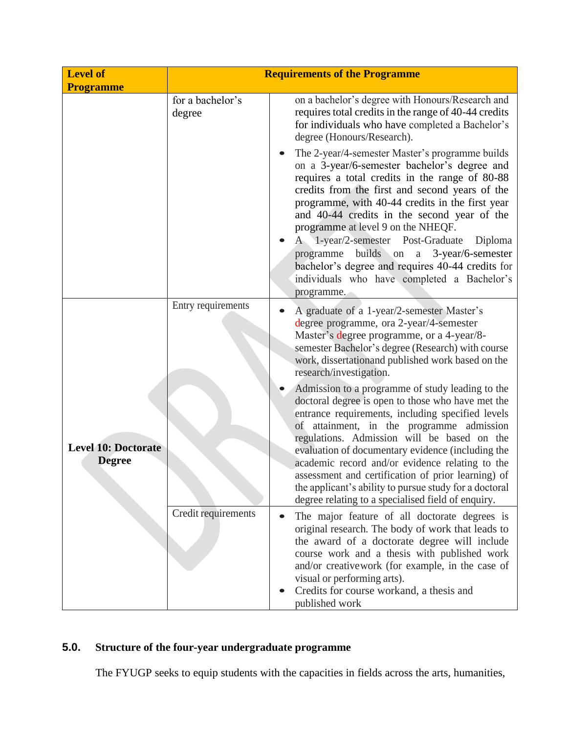| <b>Level of</b>                             | <b>Requirements of the Programme</b> |                                                                                                                                                                                                                                                                                                                                                                                                                                                                                                                                                            |  |
|---------------------------------------------|--------------------------------------|------------------------------------------------------------------------------------------------------------------------------------------------------------------------------------------------------------------------------------------------------------------------------------------------------------------------------------------------------------------------------------------------------------------------------------------------------------------------------------------------------------------------------------------------------------|--|
| <b>Programme</b>                            | for a bachelor's<br>degree           | on a bachelor's degree with Honours/Research and<br>requires total credits in the range of 40-44 credits<br>for individuals who have completed a Bachelor's<br>degree (Honours/Research).                                                                                                                                                                                                                                                                                                                                                                  |  |
|                                             |                                      | The 2-year/4-semester Master's programme builds<br>on a 3-year/6-semester bachelor's degree and<br>requires a total credits in the range of 80-88<br>credits from the first and second years of the<br>programme, with 40-44 credits in the first year<br>and 40-44 credits in the second year of the<br>programme at level 9 on the NHEQF.<br>A 1-year/2-semester Post-Graduate Diploma<br>builds on a<br>3-year/6-semester<br>programme<br>bachelor's degree and requires 40-44 credits for<br>individuals who have completed a Bachelor's<br>programme. |  |
|                                             | Entry requirements                   | A graduate of a 1-year/2-semester Master's<br>degree programme, ora 2-year/4-semester<br>Master's degree programme, or a 4-year/8-<br>semester Bachelor's degree (Research) with course<br>work, dissertationand published work based on the<br>research/investigation.                                                                                                                                                                                                                                                                                    |  |
| <b>Level 10: Doctorate</b><br><b>Degree</b> |                                      | Admission to a programme of study leading to the<br>doctoral degree is open to those who have met the<br>entrance requirements, including specified levels<br>of attainment, in the programme admission<br>regulations. Admission will be based on the<br>evaluation of documentary evidence (including the<br>academic record and/or evidence relating to the<br>assessment and certification of prior learning) of<br>the applicant's ability to pursue study for a doctoral<br>degree relating to a specialised field of enquiry.                       |  |
|                                             | Credit requirements                  | The major feature of all doctorate degrees is<br>$\bullet$<br>original research. The body of work that leads to<br>the award of a doctorate degree will include<br>course work and a thesis with published work<br>and/or creativework (for example, in the case of<br>visual or performing arts).<br>Credits for course workand, a thesis and<br>published work                                                                                                                                                                                           |  |

# **5.0. Structure of the four-year undergraduate programme**

The FYUGP seeks to equip students with the capacities in fields across the arts, humanities,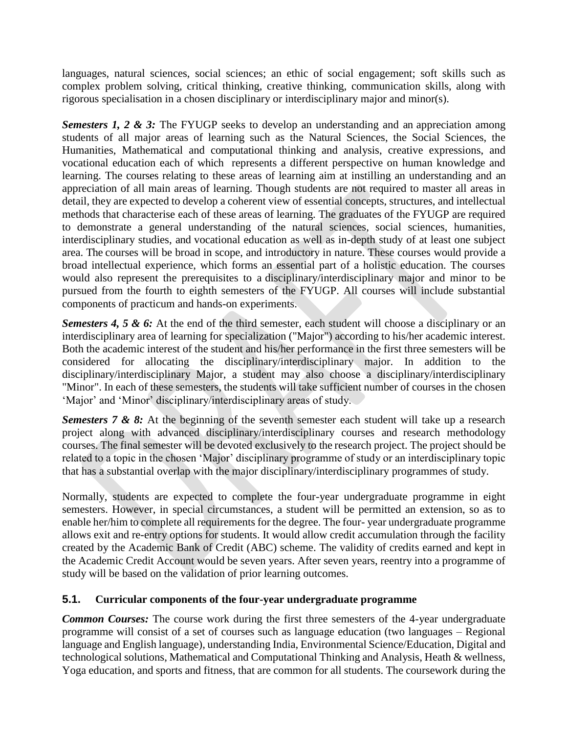languages, natural sciences, social sciences; an ethic of social engagement; soft skills such as complex problem solving, critical thinking, creative thinking, communication skills, along with rigorous specialisation in a chosen disciplinary or interdisciplinary major and minor(s).

*Semesters 1, 2 & 3:* The FYUGP seeks to develop an understanding and an appreciation among students of all major areas of learning such as the Natural Sciences, the Social Sciences, the Humanities, Mathematical and computational thinking and analysis, creative expressions, and vocational education each of which represents a different perspective on human knowledge and learning. The courses relating to these areas of learning aim at instilling an understanding and an appreciation of all main areas of learning. Though students are not required to master all areas in detail, they are expected to develop a coherent view of essential concepts, structures, and intellectual methods that characterise each of these areas of learning. The graduates of the FYUGP are required to demonstrate a general understanding of the natural sciences, social sciences, humanities, interdisciplinary studies, and vocational education as well as in-depth study of at least one subject area. The courses will be broad in scope, and introductory in nature. These courses would provide a broad intellectual experience, which forms an essential part of a holistic education. The courses would also represent the prerequisites to a disciplinary/interdisciplinary major and minor to be pursued from the fourth to eighth semesters of the FYUGP. All courses will include substantial components of practicum and hands-on experiments.

*Semesters 4, 5 & 6:* At the end of the third semester, each student will choose a disciplinary or an interdisciplinary area of learning for specialization ("Major") according to his/her academic interest. Both the academic interest of the student and his/her performance in the first three semesters will be considered for allocating the disciplinary/interdisciplinary major. In addition to the disciplinary/interdisciplinary Major, a student may also choose a disciplinary/interdisciplinary "Minor". In each of these semesters, the students will take sufficient number of courses in the chosen 'Major' and 'Minor' disciplinary/interdisciplinary areas of study.

*Semesters 7 & 8:* At the beginning of the seventh semester each student will take up a research project along with advanced disciplinary/interdisciplinary courses and research methodology courses. The final semester will be devoted exclusively to the research project. The project should be related to a topic in the chosen 'Major' disciplinary programme of study or an interdisciplinary topic that has a substantial overlap with the major disciplinary/interdisciplinary programmes of study.

Normally, students are expected to complete the four-year undergraduate programme in eight semesters. However, in special circumstances, a student will be permitted an extension, so as to enable her/him to complete all requirements for the degree. The four- year undergraduate programme allows exit and re-entry options for students. It would allow credit accumulation through the facility created by the Academic Bank of Credit (ABC) scheme. The validity of credits earned and kept in the Academic Credit Account would be seven years. After seven years, reentry into a programme of study will be based on the validation of prior learning outcomes.

#### **5.1. Curricular components of the four-year undergraduate programme**

*Common Courses:* The course work during the first three semesters of the 4-year undergraduate programme will consist of a set of courses such as language education (two languages – Regional language and English language), understanding India, Environmental Science/Education, Digital and technological solutions, Mathematical and Computational Thinking and Analysis, Heath & wellness, Yoga education, and sports and fitness, that are common for all students. The coursework during the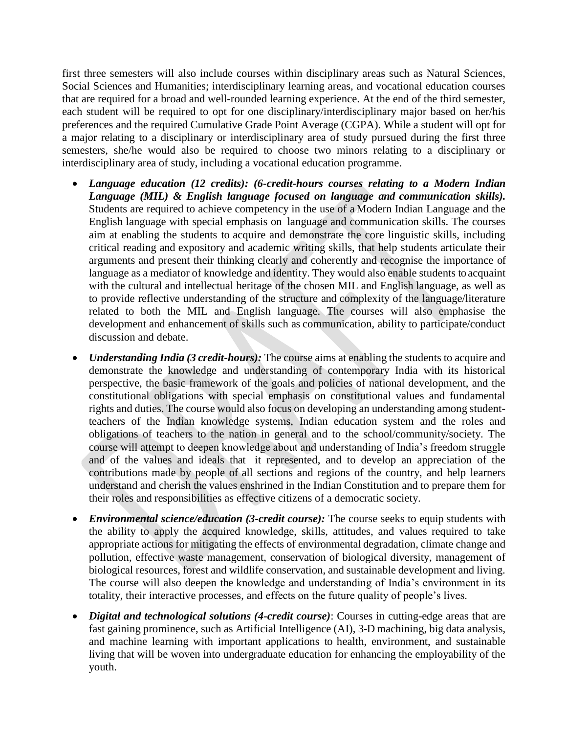first three semesters will also include courses within disciplinary areas such as Natural Sciences, Social Sciences and Humanities; interdisciplinary learning areas, and vocational education courses that are required for a broad and well-rounded learning experience. At the end of the third semester, each student will be required to opt for one disciplinary/interdisciplinary major based on her/his preferences and the required Cumulative Grade Point Average (CGPA). While a student will opt for a major relating to a disciplinary or interdisciplinary area of study pursued during the first three semesters, she/he would also be required to choose two minors relating to a disciplinary or interdisciplinary area of study, including a vocational education programme.

- *Language education (12 credits): (6-credit-hours courses relating to a Modern Indian Language (MIL) & English language focused on language and communication skills).*  Students are required to achieve competency in the use of a Modern Indian Language and the English language with special emphasis on language and communication skills. The courses aim at enabling the students to acquire and demonstrate the core linguistic skills, including critical reading and expository and academic writing skills, that help students articulate their arguments and present their thinking clearly and coherently and recognise the importance of language as a mediator of knowledge and identity. They would also enable students to acquaint with the cultural and intellectual heritage of the chosen MIL and English language, as well as to provide reflective understanding of the structure and complexity of the language/literature related to both the MIL and English language. The courses will also emphasise the development and enhancement of skills such as communication, ability to participate/conduct discussion and debate.
- *Understanding India (3 credit-hours):* The course aims at enabling the students to acquire and demonstrate the knowledge and understanding of contemporary India with its historical perspective, the basic framework of the goals and policies of national development, and the constitutional obligations with special emphasis on constitutional values and fundamental rights and duties. The course would also focus on developing an understanding among studentteachers of the Indian knowledge systems, Indian education system and the roles and obligations of teachers to the nation in general and to the school/community/society. The course will attempt to deepen knowledge about and understanding of India's freedom struggle and of the values and ideals that it represented, and to develop an appreciation of the contributions made by people of all sections and regions of the country, and help learners understand and cherish the values enshrined in the Indian Constitution and to prepare them for their roles and responsibilities as effective citizens of a democratic society.
- *Environmental science/education (3-credit course):* The course seeks to equip students with the ability to apply the acquired knowledge, skills, attitudes, and values required to take appropriate actions for mitigating the effects of environmental degradation, climate change and pollution, effective waste management, conservation of biological diversity, management of biological resources, forest and wildlife conservation, and sustainable development and living. The course will also deepen the knowledge and understanding of India's environment in its totality, their interactive processes, and effects on the future quality of people's lives.
- *Digital and technological solutions (4-credit course)*: Courses in cutting-edge areas that are fast gaining prominence, such as Artificial Intelligence (AI), 3-D machining, big data analysis, and machine learning with important applications to health, environment, and sustainable living that will be woven into undergraduate education for enhancing the employability of the youth.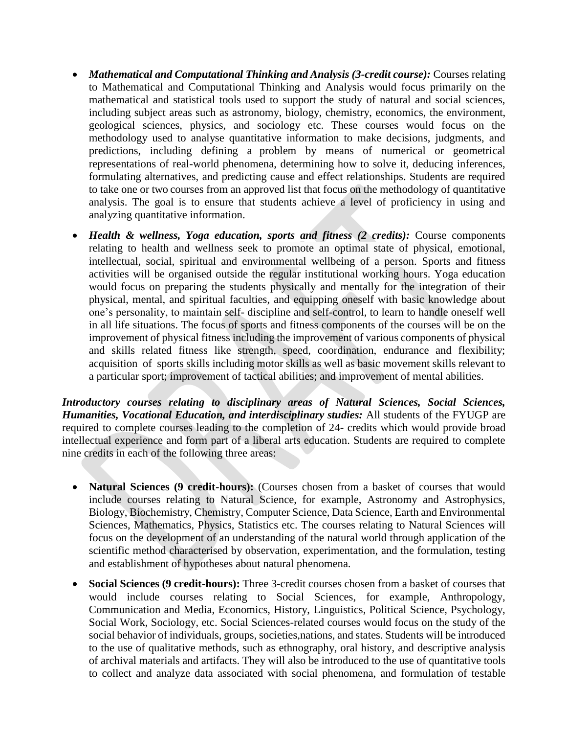- *Mathematical and Computational Thinking and Analysis (3-credit course): Courses relating* to Mathematical and Computational Thinking and Analysis would focus primarily on the mathematical and statistical tools used to support the study of natural and social sciences, including subject areas such as astronomy, biology, chemistry, economics, the environment, geological sciences, physics, and sociology etc. These courses would focus on the methodology used to analyse quantitative information to make decisions, judgments, and predictions, including defining a problem by means of numerical or geometrical representations of real-world phenomena, determining how to solve it, deducing inferences, formulating alternatives, and predicting cause and effect relationships. Students are required to take one or two courses from an approved list that focus on the methodology of quantitative analysis. The goal is to ensure that students achieve a level of proficiency in using and analyzing quantitative information.
- *Health & wellness, Yoga education, sports and fitness (2 credits):* Course components relating to health and wellness seek to promote an optimal state of physical, emotional, intellectual, social, spiritual and environmental wellbeing of a person. Sports and fitness activities will be organised outside the regular institutional working hours. Yoga education would focus on preparing the students physically and mentally for the integration of their physical, mental, and spiritual faculties, and equipping oneself with basic knowledge about one's personality, to maintain self- discipline and self-control, to learn to handle oneself well in all life situations. The focus of sports and fitness components of the courses will be on the improvement of physical fitness including the improvement of various components of physical and skills related fitness like strength, speed, coordination, endurance and flexibility; acquisition of sports skills including motor skills as well as basic movement skills relevant to a particular sport; improvement of tactical abilities; and improvement of mental abilities.

*Introductory courses relating to disciplinary areas of Natural Sciences, Social Sciences, Humanities, Vocational Education, and interdisciplinary studies:* All students of the FYUGP are required to complete courses leading to the completion of 24- credits which would provide broad intellectual experience and form part of a liberal arts education. Students are required to complete nine credits in each of the following three areas:

- **Natural Sciences (9 credit-hours):** (Courses chosen from a basket of courses that would include courses relating to Natural Science, for example, Astronomy and Astrophysics, Biology, Biochemistry, Chemistry, Computer Science, Data Science, Earth and Environmental Sciences, Mathematics, Physics, Statistics etc. The courses relating to Natural Sciences will focus on the development of an understanding of the natural world through application of the scientific method characterised by observation, experimentation, and the formulation, testing and establishment of hypotheses about natural phenomena.
- **Social Sciences (9 credit-hours):** Three 3-credit courses chosen from a basket of courses that would include courses relating to Social Sciences, for example, Anthropology, Communication and Media, Economics, History, Linguistics, Political Science, Psychology, Social Work, Sociology, etc. Social Sciences-related courses would focus on the study of the social behavior of individuals, groups, societies,nations, and states. Students will be introduced to the use of qualitative methods, such as ethnography, oral history, and descriptive analysis of archival materials and artifacts. They will also be introduced to the use of quantitative tools to collect and analyze data associated with social phenomena, and formulation of testable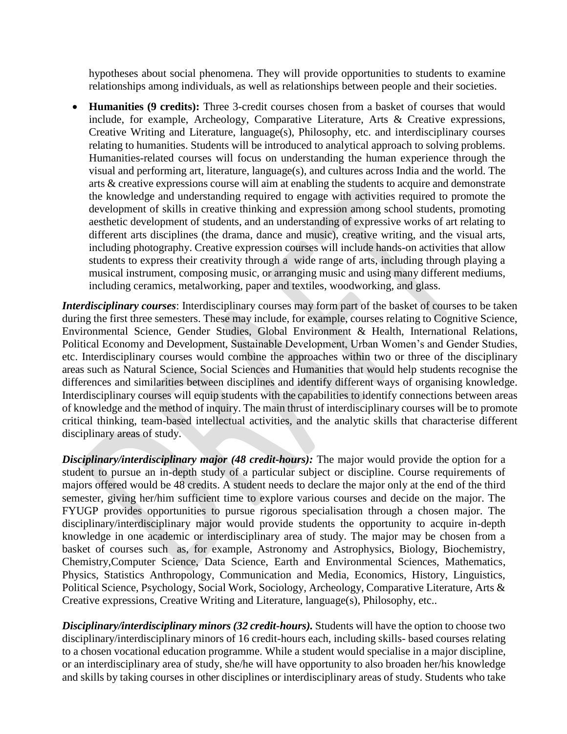hypotheses about social phenomena. They will provide opportunities to students to examine relationships among individuals, as well as relationships between people and their societies.

• **Humanities (9 credits):** Three 3-credit courses chosen from a basket of courses that would include, for example, Archeology, Comparative Literature, Arts & Creative expressions, Creative Writing and Literature, language(s), Philosophy, etc. and interdisciplinary courses relating to humanities. Students will be introduced to analytical approach to solving problems. Humanities-related courses will focus on understanding the human experience through the visual and performing art, literature, language(s), and cultures across India and the world. The arts & creative expressions course will aim at enabling the students to acquire and demonstrate the knowledge and understanding required to engage with activities required to promote the development of skills in creative thinking and expression among school students, promoting aesthetic development of students, and an understanding of expressive works of art relating to different arts disciplines (the drama, dance and music), creative writing, and the visual arts, including photography. Creative expression courses will include hands-on activities that allow students to express their creativity through a wide range of arts, including through playing a musical instrument, composing music, or arranging music and using many different mediums, including ceramics, metalworking, paper and textiles, woodworking, and glass.

*Interdisciplinary courses*: Interdisciplinary courses may form part of the basket of courses to be taken during the first three semesters. These may include, for example, courses relating to Cognitive Science, Environmental Science, Gender Studies, Global Environment & Health, International Relations, Political Economy and Development, Sustainable Development, Urban Women's and Gender Studies, etc. Interdisciplinary courses would combine the approaches within two or three of the disciplinary areas such as Natural Science, Social Sciences and Humanities that would help students recognise the differences and similarities between disciplines and identify different ways of organising knowledge. Interdisciplinary courses will equip students with the capabilities to identify connections between areas of knowledge and the method of inquiry. The main thrust of interdisciplinary courses will be to promote critical thinking, team-based intellectual activities, and the analytic skills that characterise different disciplinary areas of study.

*Disciplinary/interdisciplinary major (48 credit-hours):* The major would provide the option for a student to pursue an in-depth study of a particular subject or discipline. Course requirements of majors offered would be 48 credits. A student needs to declare the major only at the end of the third semester, giving her/him sufficient time to explore various courses and decide on the major. The FYUGP provides opportunities to pursue rigorous specialisation through a chosen major. The disciplinary/interdisciplinary major would provide students the opportunity to acquire in-depth knowledge in one academic or interdisciplinary area of study. The major may be chosen from a basket of courses such as, for example, Astronomy and Astrophysics, Biology, Biochemistry, Chemistry,Computer Science, Data Science, Earth and Environmental Sciences, Mathematics, Physics, Statistics Anthropology, Communication and Media, Economics, History, Linguistics, Political Science, Psychology, Social Work, Sociology, Archeology, Comparative Literature, Arts & Creative expressions, Creative Writing and Literature, language(s), Philosophy, etc..

*Disciplinary/interdisciplinary minors (32 credit-hours).* Students will have the option to choose two disciplinary/interdisciplinary minors of 16 credit-hours each, including skills- based courses relating to a chosen vocational education programme. While a student would specialise in a major discipline, or an interdisciplinary area of study, she/he will have opportunity to also broaden her/his knowledge and skills by taking courses in other disciplines or interdisciplinary areas of study. Students who take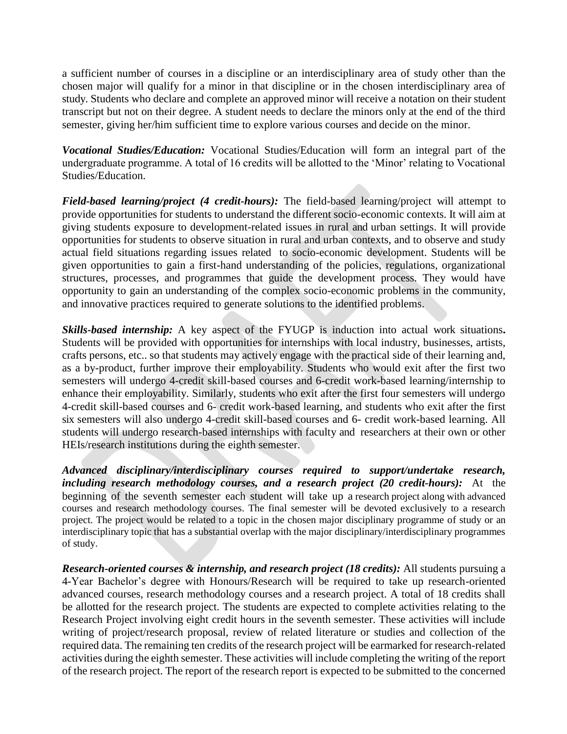a sufficient number of courses in a discipline or an interdisciplinary area of study other than the chosen major will qualify for a minor in that discipline or in the chosen interdisciplinary area of study. Students who declare and complete an approved minor will receive a notation on their student transcript but not on their degree. A student needs to declare the minors only at the end of the third semester, giving her/him sufficient time to explore various courses and decide on the minor.

*Vocational Studies/Education:* Vocational Studies/Education will form an integral part of the undergraduate programme. A total of 16 credits will be allotted to the 'Minor' relating to Vocational Studies/Education.

*Field-based learning/project (4 credit-hours):* The field-based learning/project will attempt to provide opportunities for students to understand the different socio-economic contexts. It will aim at giving students exposure to development-related issues in rural and urban settings. It will provide opportunities for students to observe situation in rural and urban contexts, and to observe and study actual field situations regarding issues related to socio-economic development. Students will be given opportunities to gain a first-hand understanding of the policies, regulations, organizational structures, processes, and programmes that guide the development process. They would have opportunity to gain an understanding of the complex socio-economic problems in the community, and innovative practices required to generate solutions to the identified problems.

*Skills-based internship:* A key aspect of the FYUGP is induction into actual work situations**.**  Students will be provided with opportunities for internships with local industry, businesses, artists, crafts persons, etc.. so that students may actively engage with the practical side of their learning and, as a by-product, further improve their employability. Students who would exit after the first two semesters will undergo 4-credit skill-based courses and 6-credit work-based learning/internship to enhance their employability. Similarly, students who exit after the first four semesters will undergo 4-credit skill-based courses and 6- credit work-based learning, and students who exit after the first six semesters will also undergo 4-credit skill-based courses and 6- credit work-based learning. All students will undergo research-based internships with faculty and researchers at their own or other HEIs/research institutions during the eighth semester.

*Advanced disciplinary/interdisciplinary courses required to support/undertake research, including research methodology courses, and a research project (20 credit-hours):* At the beginning of the seventh semester each student will take up a research project along with advanced courses and research methodology courses. The final semester will be devoted exclusively to a research project. The project would be related to a topic in the chosen major disciplinary programme of study or an interdisciplinary topic that has a substantial overlap with the major disciplinary/interdisciplinary programmes of study.

*Research-oriented courses & internship, and research project (18 credits):* All students pursuing a 4-Year Bachelor's degree with Honours/Research will be required to take up research-oriented advanced courses, research methodology courses and a research project. A total of 18 credits shall be allotted for the research project. The students are expected to complete activities relating to the Research Project involving eight credit hours in the seventh semester. These activities will include writing of project/research proposal, review of related literature or studies and collection of the required data. The remaining ten credits of the research project will be earmarked for research-related activities during the eighth semester. These activities will include completing the writing of the report of the research project. The report of the research report is expected to be submitted to the concerned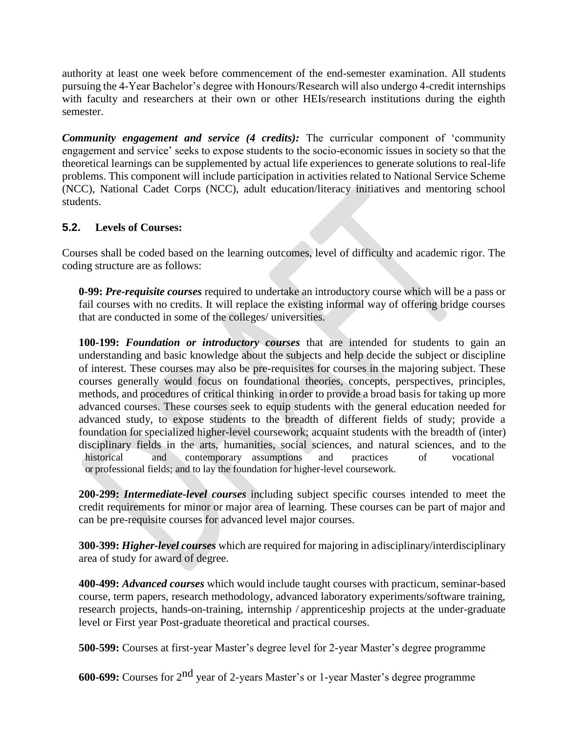authority at least one week before commencement of the end-semester examination. All students pursuing the 4-Year Bachelor's degree with Honours/Research will also undergo 4-credit internships with faculty and researchers at their own or other HEIs/research institutions during the eighth semester.

*Community engagement and service (4 credits):* The curricular component of 'community engagement and service' seeks to expose students to the socio-economic issues in society so that the theoretical learnings can be supplemented by actual life experiences to generate solutions to real-life problems. This component will include participation in activities related to National Service Scheme (NCC), National Cadet Corps (NCC), adult education/literacy initiatives and mentoring school students.

### **5.2. Levels of Courses:**

Courses shall be coded based on the learning outcomes, level of difficulty and academic rigor. The coding structure are as follows:

**0-99:** *Pre-requisite courses* required to undertake an introductory course which will be a pass or fail courses with no credits. It will replace the existing informal way of offering bridge courses that are conducted in some of the colleges/ universities.

**100-199:** *Foundation or introductory courses* that are intended for students to gain an understanding and basic knowledge about the subjects and help decide the subject or discipline of interest. These courses may also be pre-requisites for courses in the majoring subject. These courses generally would focus on foundational theories, concepts, perspectives, principles, methods, and procedures of critical thinking in order to provide a broad basis for taking up more advanced courses. These courses seek to equip students with the general education needed for advanced study, to expose students to the breadth of different fields of study; provide a foundation for specialized higher-level coursework; acquaint students with the breadth of (inter) disciplinary fields in the arts, humanities, social sciences, and natural sciences, and to the historical and contemporary assumptions and practices of vocational or professional fields; and to lay the foundation for higher-level coursework.

**200-299:** *Intermediate-level courses* including subject specific courses intended to meet the credit requirements for minor or major area of learning. These courses can be part of major and can be pre-requisite courses for advanced level major courses.

**300-399:** *Higher-level courses* which are required for majoring in a disciplinary/interdisciplinary area of study for award of degree.

**400-499:** *Advanced courses* which would include taught courses with practicum, seminar-based course, term papers, research methodology, advanced laboratory experiments/software training, research projects, hands-on-training, internship / apprenticeship projects at the under-graduate level or First year Post-graduate theoretical and practical courses.

**500-599:** Courses at first-year Master's degree level for 2-year Master's degree programme

**600-699:** Courses for 2nd year of 2-years Master's or 1-year Master's degree programme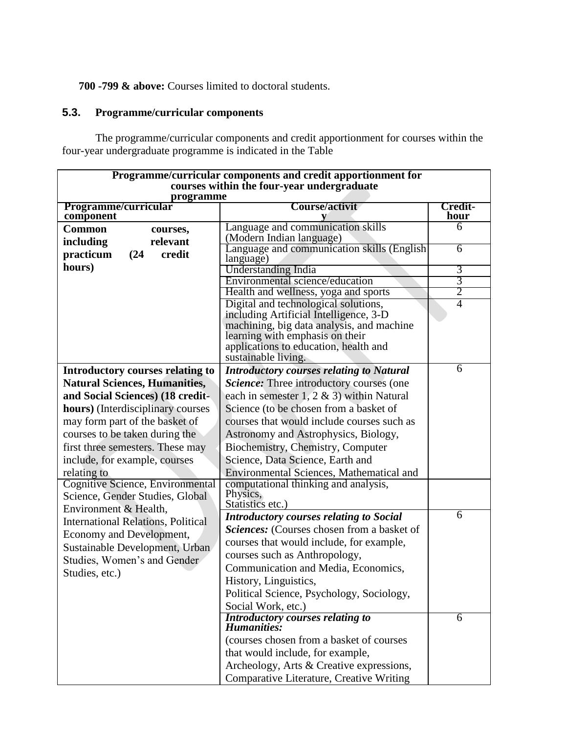# **700 -799 & above:** Courses limited to doctoral students.

# **5.3. Programme/curricular components**

The programme/curricular components and credit apportionment for courses within the four-year undergraduate programme is indicated in the Table

| Programme/curricular components and credit apportionment for                 |                                                                                |                     |  |
|------------------------------------------------------------------------------|--------------------------------------------------------------------------------|---------------------|--|
| courses within the four-year undergraduate                                   |                                                                                |                     |  |
| programme<br><b>Course/activit</b><br>Programme/curricular<br><b>Credit-</b> |                                                                                |                     |  |
| component                                                                    |                                                                                | hour                |  |
| <b>Common</b><br>courses,                                                    | Language and communication skills                                              | 6                   |  |
| relevant<br>including                                                        | (Modern Indian language)                                                       |                     |  |
| credit<br>practicum<br>(24)                                                  | Language and communication skills (English                                     | 6                   |  |
| hours)                                                                       | language)                                                                      |                     |  |
|                                                                              | Understanding India                                                            | 3                   |  |
|                                                                              | Environmental science/education                                                | 3<br>$\overline{2}$ |  |
|                                                                              | Health and wellness, yoga and sports                                           | $\overline{4}$      |  |
|                                                                              | Digital and technological solutions,<br>including Artificial Intelligence, 3-D |                     |  |
|                                                                              | machining, big data analysis, and machine                                      |                     |  |
|                                                                              | learning with emphasis on their                                                |                     |  |
|                                                                              | applications to education, health and                                          |                     |  |
|                                                                              | sustainable living.                                                            |                     |  |
| Introductory courses relating to                                             | <b>Introductory courses relating to Natural</b>                                | 6                   |  |
| <b>Natural Sciences, Humanities,</b>                                         | Science: Three introductory courses (one                                       |                     |  |
| and Social Sciences) (18 credit-                                             | each in semester 1, 2 & 3) within Natural                                      |                     |  |
| hours) (Interdisciplinary courses                                            | Science (to be chosen from a basket of                                         |                     |  |
| may form part of the basket of                                               | courses that would include courses such as                                     |                     |  |
| courses to be taken during the                                               | Astronomy and Astrophysics, Biology,                                           |                     |  |
| first three semesters. These may                                             | Biochemistry, Chemistry, Computer                                              |                     |  |
| include, for example, courses                                                | Science, Data Science, Earth and                                               |                     |  |
| relating to                                                                  | Environmental Sciences, Mathematical and                                       |                     |  |
| Cognitive Science, Environmental                                             | computational thinking and analysis,                                           |                     |  |
| Science, Gender Studies, Global                                              | Physics,                                                                       |                     |  |
| Environment & Health,                                                        | Statistics etc.)                                                               |                     |  |
| <b>International Relations, Political</b>                                    | <b>Introductory courses relating to Social</b>                                 | $\overline{6}$      |  |
| Economy and Development,                                                     | Sciences: (Courses chosen from a basket of                                     |                     |  |
| Sustainable Development, Urban                                               | courses that would include, for example,                                       |                     |  |
| Studies, Women's and Gender                                                  | courses such as Anthropology,                                                  |                     |  |
| Studies, etc.)                                                               | Communication and Media, Economics,                                            |                     |  |
|                                                                              | History, Linguistics,                                                          |                     |  |
|                                                                              | Political Science, Psychology, Sociology,                                      |                     |  |
|                                                                              | Social Work, etc.)                                                             |                     |  |
|                                                                              | <b>Introductory courses relating to</b>                                        | 6                   |  |
|                                                                              | Humanities:                                                                    |                     |  |
|                                                                              | (courses chosen from a basket of courses                                       |                     |  |
|                                                                              | that would include, for example,                                               |                     |  |
|                                                                              | Archeology, Arts & Creative expressions,                                       |                     |  |
|                                                                              | Comparative Literature, Creative Writing                                       |                     |  |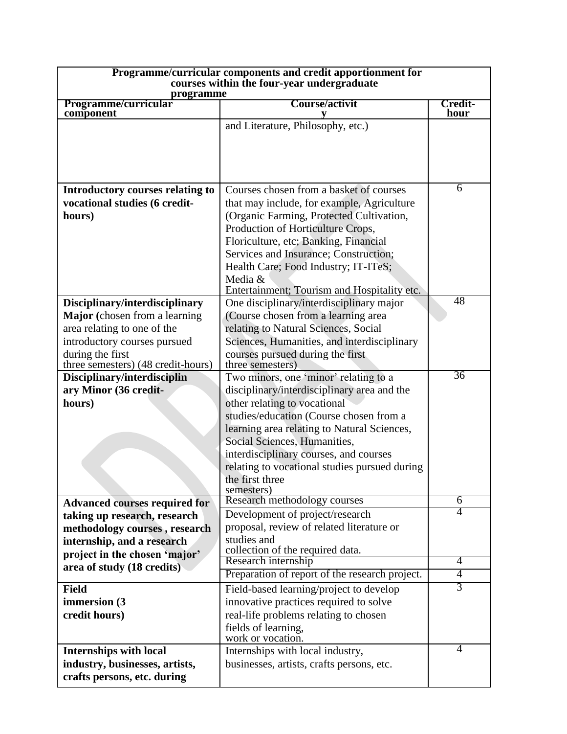| Programme/curricular components and credit apportionment for<br>courses within the four-year undergraduate<br>programme                                                                   |                                                                                                                                                                                                                                                                                                                                                                            |                        |  |
|-------------------------------------------------------------------------------------------------------------------------------------------------------------------------------------------|----------------------------------------------------------------------------------------------------------------------------------------------------------------------------------------------------------------------------------------------------------------------------------------------------------------------------------------------------------------------------|------------------------|--|
| Programme/curricular<br>component                                                                                                                                                         | Course/activit<br>V                                                                                                                                                                                                                                                                                                                                                        | <b>Credit-</b><br>hour |  |
|                                                                                                                                                                                           | and Literature, Philosophy, etc.)                                                                                                                                                                                                                                                                                                                                          |                        |  |
| Introductory courses relating to<br>vocational studies (6 credit-<br>hours)                                                                                                               | Courses chosen from a basket of courses<br>that may include, for example, Agriculture<br>(Organic Farming, Protected Cultivation,<br>Production of Horticulture Crops,<br>Floriculture, etc; Banking, Financial<br>Services and Insurance; Construction;<br>Health Care; Food Industry; IT-ITeS;<br>Media &<br>Entertainment; Tourism and Hospitality etc.                 | 6                      |  |
| Disciplinary/interdisciplinary<br>Major (chosen from a learning)<br>area relating to one of the<br>introductory courses pursued<br>during the first<br>three semesters) (48 credit-hours) | One disciplinary/interdisciplinary major<br>(Course chosen from a learning area<br>relating to Natural Sciences, Social<br>Sciences, Humanities, and interdisciplinary<br>courses pursued during the first<br>three semesters)                                                                                                                                             | 48                     |  |
| Disciplinary/interdisciplin<br>ary Minor (36 credit-<br>hours)                                                                                                                            | Two minors, one 'minor' relating to a<br>disciplinary/interdisciplinary area and the<br>other relating to vocational<br>studies/education (Course chosen from a<br>learning area relating to Natural Sciences,<br>Social Sciences, Humanities,<br>interdisciplinary courses, and courses<br>relating to vocational studies pursued during<br>the first three<br>semesters) | 36                     |  |
| <b>Advanced courses required for</b>                                                                                                                                                      | Research methodology courses                                                                                                                                                                                                                                                                                                                                               | 6                      |  |
| taking up research, research<br>methodology courses, research<br>internship, and a research<br>project in the chosen 'major'                                                              | Development of project/research<br>proposal, review of related literature or<br>studies and<br>collection of the required data.                                                                                                                                                                                                                                            | 4                      |  |
| area of study (18 credits)                                                                                                                                                                | Research internship                                                                                                                                                                                                                                                                                                                                                        | $\overline{4}$         |  |
|                                                                                                                                                                                           | Preparation of report of the research project.                                                                                                                                                                                                                                                                                                                             | $\overline{4}$         |  |
| <b>Field</b><br>immersion (3<br>credit hours)                                                                                                                                             | Field-based learning/project to develop<br>innovative practices required to solve<br>real-life problems relating to chosen<br>fields of learning,<br>work or vocation.                                                                                                                                                                                                     | $\overline{3}$         |  |
| <b>Internships with local</b><br>industry, businesses, artists,<br>crafts persons, etc. during                                                                                            | Internships with local industry,<br>businesses, artists, crafts persons, etc.                                                                                                                                                                                                                                                                                              | 4                      |  |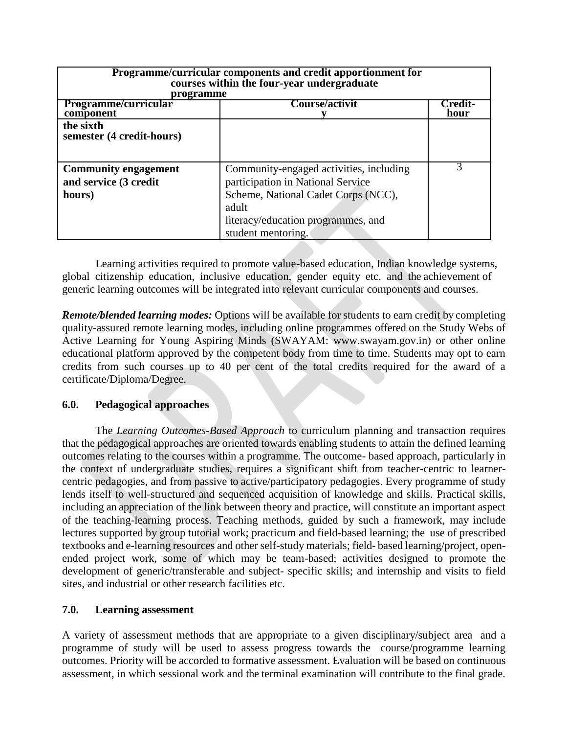| Programme/curricular components and credit apportionment for<br>courses within the four-year undergraduate<br>programme |                                                                                                                                                                                          |                        |  |
|-------------------------------------------------------------------------------------------------------------------------|------------------------------------------------------------------------------------------------------------------------------------------------------------------------------------------|------------------------|--|
| Programme/curricular<br>component                                                                                       | Course/activit                                                                                                                                                                           | <b>Predit-</b><br>hour |  |
| the sixth<br>semester (4 credit-hours)                                                                                  |                                                                                                                                                                                          |                        |  |
| <b>Community engagement</b><br>and service (3 credit<br>hours)                                                          | Community-engaged activities, including<br>participation in National Service<br>Scheme, National Cadet Corps (NCC),<br>adult<br>literacy/education programmes, and<br>student mentoring. | 3                      |  |

Learning activities required to promote value-based education, Indian knowledge systems, global citizenship education, inclusive education, gender equity etc. and the achievement of generic learning outcomes will be integrated into relevant curricular components and courses.

*Remote/blended learning modes:* Options will be available for students to earn credit by completing quality-assured remote learning modes, including online programmes offered on the Study Webs of Active Learning for Young Aspiring Minds (SWAYAM: www.swayam.gov.in) or other online educational platform approved by the competent body from time to time. Students may opt to earn credits from such courses up to 40 per cent of the total credits required for the award of a certificate/Diploma/Degree.

#### **6.0. Pedagogical approaches**

The *Learning Outcomes-Based Approach* to curriculum planning and transaction requires that the pedagogical approaches are oriented towards enabling students to attain the defined learning outcomes relating to the courses within a programme. The outcome- based approach, particularly in the context of undergraduate studies, requires a significant shift from teacher-centric to learnercentric pedagogies, and from passive to active/participatory pedagogies. Every programme of study lends itself to well-structured and sequenced acquisition of knowledge and skills. Practical skills, including an appreciation of the link between theory and practice, will constitute an important aspect of the teaching-learning process. Teaching methods, guided by such a framework, may include lectures supported by group tutorial work; practicum and field-based learning; the use of prescribed textbooks and e-learning resources and other self-study materials; field- based learning/project, openended project work, some of which may be team-based; activities designed to promote the development of generic/transferable and subject- specific skills; and internship and visits to field sites, and industrial or other research facilities etc.

#### **7.0. Learning assessment**

A variety of assessment methods that are appropriate to a given disciplinary/subject area and a programme of study will be used to assess progress towards the course/programme learning outcomes. Priority will be accorded to formative assessment. Evaluation will be based on continuous assessment, in which sessional work and the terminal examination will contribute to the final grade.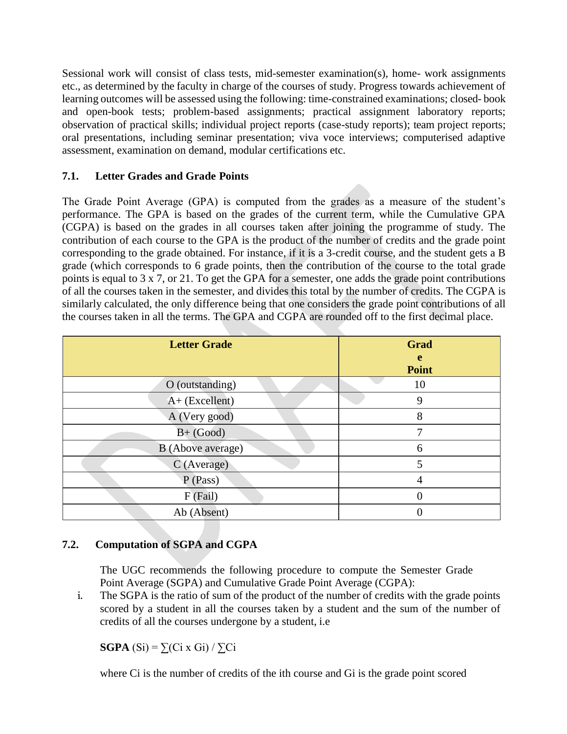Sessional work will consist of class tests, mid-semester examination(s), home- work assignments etc., as determined by the faculty in charge of the courses of study. Progress towards achievement of learning outcomes will be assessed using the following: time-constrained examinations; closed- book and open-book tests; problem-based assignments; practical assignment laboratory reports; observation of practical skills; individual project reports (case-study reports); team project reports; oral presentations, including seminar presentation; viva voce interviews; computerised adaptive assessment, examination on demand, modular certifications etc.

# **7.1. Letter Grades and Grade Points**

The Grade Point Average (GPA) is computed from the grades as a measure of the student's performance. The GPA is based on the grades of the current term, while the Cumulative GPA (CGPA) is based on the grades in all courses taken after joining the programme of study. The contribution of each course to the GPA is the product of the number of credits and the grade point corresponding to the grade obtained. For instance, if it is a 3-credit course, and the student gets a B grade (which corresponds to 6 grade points, then the contribution of the course to the total grade points is equal to 3 x 7, or 21. To get the GPA for a semester, one adds the grade point contributions of all the courses taken in the semester, and divides this total by the number of credits. The CGPA is similarly calculated, the only difference being that one considers the grade point contributions of all the courses taken in all the terms. The GPA and CGPA are rounded off to the first decimal place.

| <b>Letter Grade</b> | <b>Grad</b><br>e<br><b>Point</b> |
|---------------------|----------------------------------|
| O (outstanding)     | 10                               |
| $A+$ (Excellent)    | 9                                |
| A (Very good)       | 8                                |
| $B+$ (Good)         | 7                                |
| B (Above average)   | 6                                |
| C (Average)         | 5                                |
| P(Pass)             |                                  |
| $F$ (Fail)          |                                  |
| Ab (Absent)         |                                  |

# **7.2. Computation of SGPA and CGPA**

The UGC recommends the following procedure to compute the Semester Grade Point Average (SGPA) and Cumulative Grade Point Average (CGPA):

i. The SGPA is the ratio of sum of the product of the number of credits with the grade points scored by a student in all the courses taken by a student and the sum of the number of credits of all the courses undergone by a student, i.e

**SGPA**  $(Si) = \sum (Ci \times Gi) / \sum Ci$ 

where Ci is the number of credits of the ith course and Gi is the grade point scored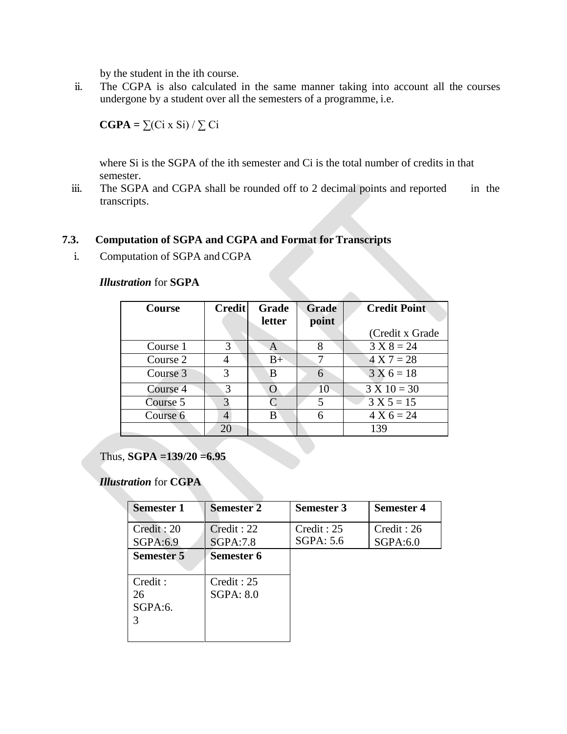by the student in the ith course.

ii. The CGPA is also calculated in the same manner taking into account all the courses undergone by a student over all the semesters of a programme, i.e.

 $\mathbf{CGPA} = \sum (Ci \times Si) / \sum Ci$ 

where Si is the SGPA of the ith semester and Ci is the total number of credits in that semester.

iii. The SGPA and CGPA shall be rounded off to 2 decimal points and reported in the transcripts.

#### **7.3. Computation of SGPA and CGPA and Format for Transcripts**

i. Computation of SGPA and CGPA

#### *Illustration* for **SGPA**

| <b>Course</b> | <b>Credit</b> | <b>Grade</b>     | <b>Grade</b> | <b>Credit Point</b> |
|---------------|---------------|------------------|--------------|---------------------|
|               |               | letter           | point        |                     |
|               |               |                  |              | (Credit x Grade)    |
| Course 1      | 3             | A                | 8            | $3 X 8 = 24$        |
| Course 2      | 4             | $B+$             |              | $4 X 7 = 28$        |
| Course 3      | 3             | B                | 6            | $3 X 6 = 18$        |
| Course 4      | 3             | $\left( \right)$ | 10           | $3 X 10 = 30$       |
| Course 5      | 3             |                  | 5            | $3 X 5 = 15$        |
| Course 6      | 4             | B                | 6            | $4 X 6 = 24$        |
|               | 20            |                  |              | 139                 |

#### Thus, **SGPA =139/20 =6.95**

#### *Illustration* for **CGPA**

| <b>Semester 1</b>              | <b>Semester 2</b>        | <b>Semester 3</b>       | <b>Semester 4</b>       |
|--------------------------------|--------------------------|-------------------------|-------------------------|
| Credit: 20<br>SGPA:6.9         | Credit: 22<br>SGPA:7.8   | Credit: 25<br>SGPA: 5.6 | Credit : 26<br>SGPA:6.0 |
| <b>Semester 5</b>              | Semester 6               |                         |                         |
| Credit :<br>26<br>SGPA:6.<br>3 | Credit : 25<br>SGPA: 8.0 |                         |                         |